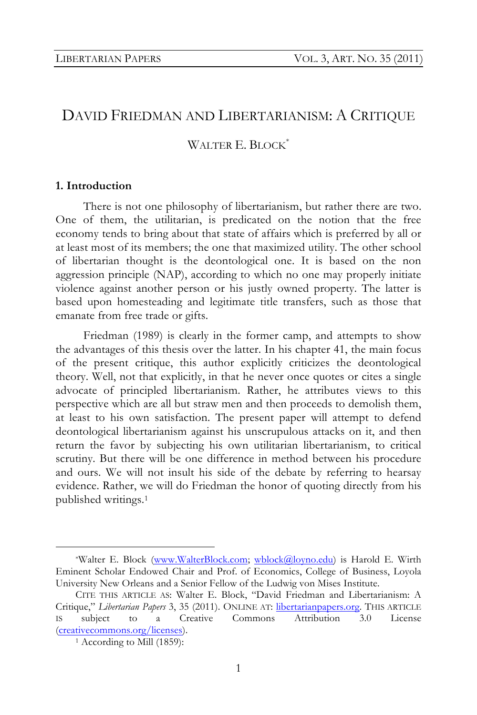# DAVID FRIEDMAN AND LIBERTARIANISM: A CRITIQUE

WALTER E. BLOCK<sup>\*</sup>

# **1. Introduction**

There is not one philosophy of libertarianism, but rather there are two. One of them, the utilitarian, is predicated on the notion that the free economy tends to bring about that state of affairs which is preferred by all or at least most of its members; the one that maximized utility. The other school of libertarian thought is the deontological one. It is based on the non aggression principle (NAP), according to which no one may properly initiate violence against another person or his justly owned property. The latter is based upon homesteading and legitimate title transfers, such as those that emanate from free trade or gifts.

Friedman (1989) is clearly in the former camp, and attempts to show the advantages of this thesis over the latter. In his chapter 41, the main focus of the present critique, this author explicitly criticizes the deontological theory. Well, not that explicitly, in that he never once quotes or cites a single advocate of principled libertarianism. Rather, he attributes views to this perspective which are all but straw men and then proceeds to demolish them, at least to his own satisfaction. The present paper will attempt to defend deontological libertarianism against his unscrupulous attacks on it, and then return the favor by subjecting his own utilitarian libertarianism, to critical scrutiny. But there will be one difference in method between his procedure and ours. We will not insult his side of the debate by referring to hearsay evidence. Rather, we will do Friedman the honor of quoting directly from his published writings.1

 <sup>\*</sup>Walter E. Block (www.WalterBlock.com; wblock@loyno.edu) is Harold E. Wirth Eminent Scholar Endowed Chair and Prof. of Economics, College of Business, Loyola University New Orleans and a Senior Fellow of the Ludwig von Mises Institute.

CITE THIS ARTICLE AS: Walter E. Block, "David Friedman and Libertarianism: A Critique," *Libertarian Papers* 3, 35 (2011). ONLINE AT: libertarianpapers.org. THIS ARTICLE IS subject to a Creative Commons Attribution 3.0 License (creativecommons.org/licenses).

<sup>1</sup> According to Mill (1859):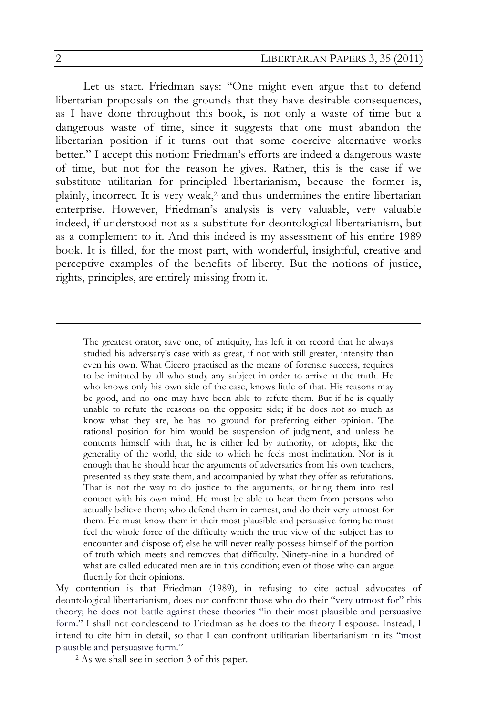Let us start. Friedman says: "One might even argue that to defend libertarian proposals on the grounds that they have desirable consequences, as I have done throughout this book, is not only a waste of time but a dangerous waste of time, since it suggests that one must abandon the libertarian position if it turns out that some coercive alternative works better." I accept this notion: Friedman's efforts are indeed a dangerous waste of time, but not for the reason he gives. Rather, this is the case if we substitute utilitarian for principled libertarianism, because the former is, plainly, incorrect. It is very weak,<sup>2</sup> and thus undermines the entire libertarian enterprise. However, Friedman's analysis is very valuable, very valuable indeed, if understood not as a substitute for deontological libertarianism, but as a complement to it. And this indeed is my assessment of his entire 1989 book. It is filled, for the most part, with wonderful, insightful, creative and perceptive examples of the benefits of liberty. But the notions of justice, rights, principles, are entirely missing from it.

The greatest orator, save one, of antiquity, has left it on record that he always studied his adversary's case with as great, if not with still greater, intensity than even his own. What Cicero practised as the means of forensic success, requires to be imitated by all who study any subject in order to arrive at the truth. He who knows only his own side of the case, knows little of that. His reasons may be good, and no one may have been able to refute them. But if he is equally unable to refute the reasons on the opposite side; if he does not so much as know what they are, he has no ground for preferring either opinion. The rational position for him would be suspension of judgment, and unless he contents himself with that, he is either led by authority, or adopts, like the generality of the world, the side to which he feels most inclination. Nor is it enough that he should hear the arguments of adversaries from his own teachers, presented as they state them, and accompanied by what they offer as refutations. That is not the way to do justice to the arguments, or bring them into real contact with his own mind. He must be able to hear them from persons who actually believe them; who defend them in earnest, and do their very utmost for them. He must know them in their most plausible and persuasive form; he must feel the whole force of the difficulty which the true view of the subject has to encounter and dispose of; else he will never really possess himself of the portion of truth which meets and removes that difficulty. Ninety-nine in a hundred of what are called educated men are in this condition; even of those who can argue fluently for their opinions.

My contention is that Friedman (1989), in refusing to cite actual advocates of deontological libertarianism, does not confront those who do their "very utmost for" this theory; he does not battle against these theories "in their most plausible and persuasive form." I shall not condescend to Friedman as he does to the theory I espouse. Instead, I intend to cite him in detail, so that I can confront utilitarian libertarianism in its "most plausible and persuasive form."

<sup>2</sup> As we shall see in section 3 of this paper.

 $\overline{a}$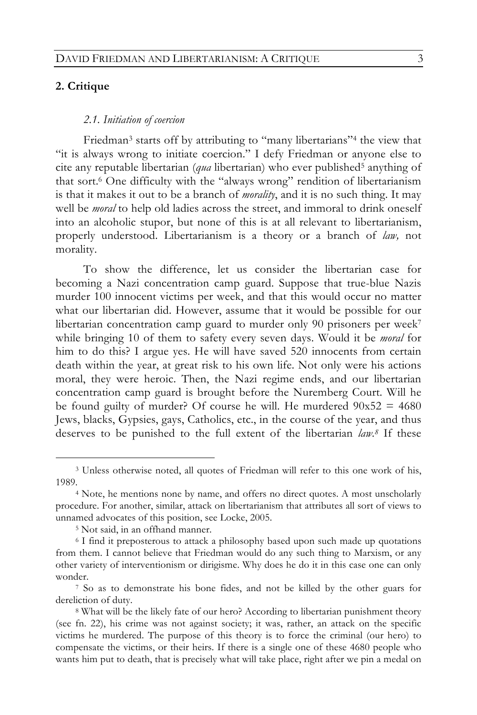## **2. Critique**

#### *2.1. Initiation of coercion*

Friedman3 starts off by attributing to "many libertarians"4 the view that "it is always wrong to initiate coercion." I defy Friedman or anyone else to cite any reputable libertarian (*qua* libertarian) who ever published<sup>5</sup> anything of that sort.6 One difficulty with the "always wrong" rendition of libertarianism is that it makes it out to be a branch of *morality*, and it is no such thing. It may well be *moral* to help old ladies across the street, and immoral to drink oneself into an alcoholic stupor, but none of this is at all relevant to libertarianism, properly understood. Libertarianism is a theory or a branch of *law,* not morality.

To show the difference, let us consider the libertarian case for becoming a Nazi concentration camp guard. Suppose that true-blue Nazis murder 100 innocent victims per week, and that this would occur no matter what our libertarian did. However, assume that it would be possible for our libertarian concentration camp guard to murder only 90 prisoners per week<sup>7</sup> while bringing 10 of them to safety every seven days. Would it be *moral* for him to do this? I argue yes. He will have saved 520 innocents from certain death within the year, at great risk to his own life. Not only were his actions moral, they were heroic. Then, the Nazi regime ends, and our libertarian concentration camp guard is brought before the Nuremberg Court. Will he be found guilty of murder? Of course he will. He murdered  $90x52 = 4680$ Jews, blacks, Gypsies, gays, Catholics, etc., in the course of the year, and thus deserves to be punished to the full extent of the libertarian *law.8* If these

 <sup>3</sup> Unless otherwise noted, all quotes of Friedman will refer to this one work of his, 1989.<br><sup>4</sup> Note, he mentions none by name, and offers no direct quotes. A most unscholarly

procedure. For another, similar, attack on libertarianism that attributes all sort of views to unnamed advocates of this position, see Locke, 2005.

<sup>5</sup> Not said, in an offhand manner.

<sup>6</sup> I find it preposterous to attack a philosophy based upon such made up quotations from them. I cannot believe that Friedman would do any such thing to Marxism, or any other variety of interventionism or dirigisme. Why does he do it in this case one can only wonder.

<sup>7</sup> So as to demonstrate his bone fides, and not be killed by the other guars for dereliction of duty.

<sup>8</sup> What will be the likely fate of our hero? According to libertarian punishment theory (see fn. 22), his crime was not against society; it was, rather, an attack on the specific victims he murdered. The purpose of this theory is to force the criminal (our hero) to compensate the victims, or their heirs. If there is a single one of these 4680 people who wants him put to death, that is precisely what will take place, right after we pin a medal on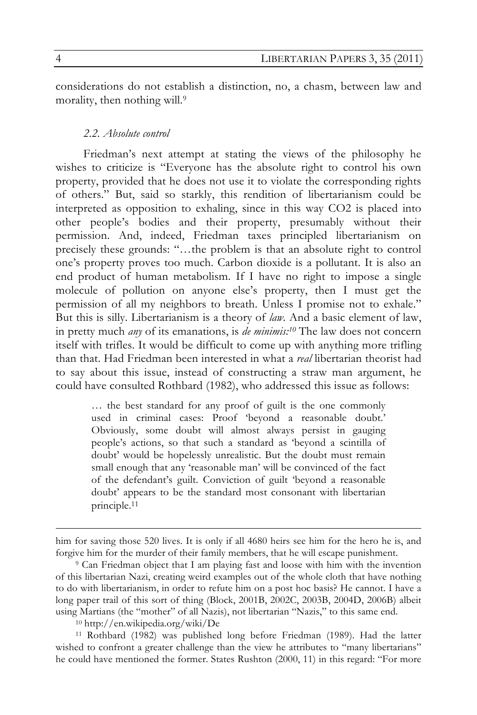considerations do not establish a distinction, no, a chasm, between law and morality, then nothing will.<sup>9</sup>

# *2.2. Absolute control*

Friedman's next attempt at stating the views of the philosophy he wishes to criticize is "Everyone has the absolute right to control his own property, provided that he does not use it to violate the corresponding rights of others." But, said so starkly, this rendition of libertarianism could be interpreted as opposition to exhaling, since in this way CO2 is placed into other people's bodies and their property, presumably without their permission. And, indeed, Friedman taxes principled libertarianism on precisely these grounds: "…the problem is that an absolute right to control one's property proves too much. Carbon dioxide is a pollutant. It is also an end product of human metabolism. If I have no right to impose a single molecule of pollution on anyone else's property, then I must get the permission of all my neighbors to breath. Unless I promise not to exhale." But this is silly. Libertarianism is a theory of *law.* And a basic element of law, in pretty much *any* of its emanations, is *de minimis:10* The law does not concern itself with trifles. It would be difficult to come up with anything more trifling than that. Had Friedman been interested in what a *real* libertarian theorist had to say about this issue, instead of constructing a straw man argument, he could have consulted Rothbard (1982), who addressed this issue as follows:

… the best standard for any proof of guilt is the one commonly used in criminal cases: Proof 'beyond a reasonable doubt.' Obviously, some doubt will almost always persist in gauging people's actions, so that such a standard as 'beyond a scintilla of doubt' would be hopelessly unrealistic. But the doubt must remain small enough that any 'reasonable man' will be convinced of the fact of the defendant's guilt. Conviction of guilt 'beyond a reasonable doubt' appears to be the standard most consonant with libertarian principle.11

<sup>10</sup> http://en.wikipedia.org/wiki/De

him for saving those 520 lives. It is only if all 4680 heirs see him for the hero he is, and forgive him for the murder of their family members, that he will escape punishment.

<sup>9</sup> Can Friedman object that I am playing fast and loose with him with the invention of this libertarian Nazi, creating weird examples out of the whole cloth that have nothing to do with libertarianism, in order to refute him on a post hoc basis? He cannot. I have a long paper trail of this sort of thing (Block, 2001B, 2002C, 2003B, 2004D, 2006B) albeit using Martians (the "mother" of all Nazis), not libertarian "Nazis," to this same end.

<sup>11</sup> Rothbard (1982) was published long before Friedman (1989). Had the latter wished to confront a greater challenge than the view he attributes to "many libertarians" he could have mentioned the former. States Rushton (2000, 11) in this regard: "For more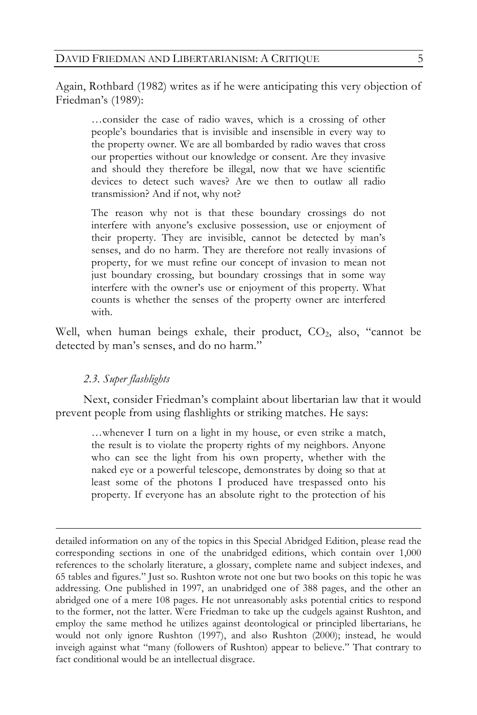Again, Rothbard (1982) writes as if he were anticipating this very objection of Friedman's (1989):

…consider the case of radio waves, which is a crossing of other people's boundaries that is invisible and insensible in every way to the property owner. We are all bombarded by radio waves that cross our properties without our knowledge or consent. Are they invasive and should they therefore be illegal, now that we have scientific devices to detect such waves? Are we then to outlaw all radio transmission? And if not, why not?

The reason why not is that these boundary crossings do not interfere with anyone's exclusive possession, use or enjoyment of their property. They are invisible, cannot be detected by man's senses, and do no harm. They are therefore not really invasions of property, for we must refine our concept of invasion to mean not just boundary crossing, but boundary crossings that in some way interfere with the owner's use or enjoyment of this property. What counts is whether the senses of the property owner are interfered with.

Well, when human beings exhale, their product, CO<sub>2</sub>, also, "cannot be detected by man's senses, and do no harm."

# *2.3. Super flashlights*

Next, consider Friedman's complaint about libertarian law that it would prevent people from using flashlights or striking matches. He says:

…whenever I turn on a light in my house, or even strike a match, the result is to violate the property rights of my neighbors. Anyone who can see the light from his own property, whether with the naked eye or a powerful telescope, demonstrates by doing so that at least some of the photons I produced have trespassed onto his property. If everyone has an absolute right to the protection of his

detailed information on any of the topics in this Special Abridged Edition, please read the corresponding sections in one of the unabridged editions, which contain over 1,000 references to the scholarly literature, a glossary, complete name and subject indexes, and 65 tables and figures." Just so. Rushton wrote not one but two books on this topic he was addressing. One published in 1997, an unabridged one of 388 pages, and the other an abridged one of a mere 108 pages. He not unreasonably asks potential critics to respond to the former, not the latter. Were Friedman to take up the cudgels against Rushton, and employ the same method he utilizes against deontological or principled libertarians, he would not only ignore Rushton (1997), and also Rushton (2000); instead, he would inveigh against what "many (followers of Rushton) appear to believe." That contrary to fact conditional would be an intellectual disgrace.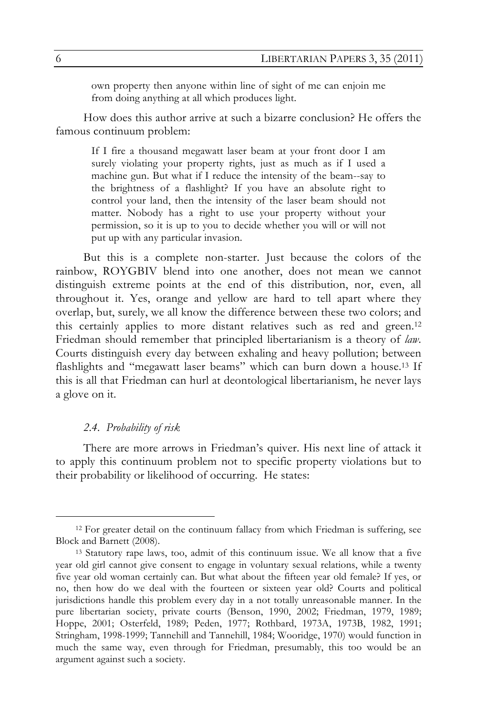own property then anyone within line of sight of me can enjoin me from doing anything at all which produces light.

How does this author arrive at such a bizarre conclusion? He offers the famous continuum problem:

If I fire a thousand megawatt laser beam at your front door I am surely violating your property rights, just as much as if I used a machine gun. But what if I reduce the intensity of the beam--say to the brightness of a flashlight? If you have an absolute right to control your land, then the intensity of the laser beam should not matter. Nobody has a right to use your property without your permission, so it is up to you to decide whether you will or will not put up with any particular invasion.

But this is a complete non-starter. Just because the colors of the rainbow, ROYGBIV blend into one another, does not mean we cannot distinguish extreme points at the end of this distribution, nor, even, all throughout it. Yes, orange and yellow are hard to tell apart where they overlap, but, surely, we all know the difference between these two colors; and this certainly applies to more distant relatives such as red and green.12 Friedman should remember that principled libertarianism is a theory of *law.* Courts distinguish every day between exhaling and heavy pollution; between flashlights and "megawatt laser beams" which can burn down a house.13 If this is all that Friedman can hurl at deontological libertarianism, he never lays a glove on it.

# *2.4. Probability of risk*

There are more arrows in Friedman's quiver. His next line of attack it to apply this continuum problem not to specific property violations but to their probability or likelihood of occurring. He states:

 <sup>12</sup> For greater detail on the continuum fallacy from which Friedman is suffering, see Block and Barnett (2008).

<sup>13</sup> Statutory rape laws, too, admit of this continuum issue. We all know that a five year old girl cannot give consent to engage in voluntary sexual relations, while a twenty five year old woman certainly can. But what about the fifteen year old female? If yes, or no, then how do we deal with the fourteen or sixteen year old? Courts and political jurisdictions handle this problem every day in a not totally unreasonable manner. In the pure libertarian society, private courts (Benson, 1990, 2002; Friedman, 1979, 1989; Hoppe, 2001; Osterfeld, 1989; Peden, 1977; Rothbard, 1973A, 1973B, 1982, 1991; Stringham, 1998-1999; Tannehill and Tannehill, 1984; Wooridge, 1970) would function in much the same way, even through for Friedman, presumably, this too would be an argument against such a society.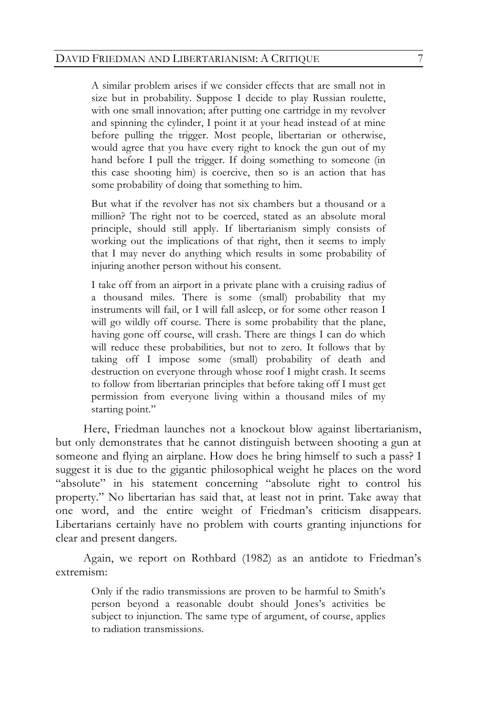A similar problem arises if we consider effects that are small not in size but in probability. Suppose I decide to play Russian roulette, with one small innovation; after putting one cartridge in my revolver and spinning the cylinder, I point it at your head instead of at mine before pulling the trigger. Most people, libertarian or otherwise, would agree that you have every right to knock the gun out of my hand before I pull the trigger. If doing something to someone (in this case shooting him) is coercive, then so is an action that has some probability of doing that something to him.

But what if the revolver has not six chambers but a thousand or a million? The right not to be coerced, stated as an absolute moral principle, should still apply. If libertarianism simply consists of working out the implications of that right, then it seems to imply that I may never do anything which results in some probability of injuring another person without his consent.

I take off from an airport in a private plane with a cruising radius of a thousand miles. There is some (small) probability that my instruments will fail, or I will fall asleep, or for some other reason I will go wildly off course. There is some probability that the plane, having gone off course, will crash. There are things I can do which will reduce these probabilities, but not to zero. It follows that by taking off I impose some (small) probability of death and destruction on everyone through whose roof I might crash. It seems to follow from libertarian principles that before taking off I must get permission from everyone living within a thousand miles of my starting point."

Here, Friedman launches not a knockout blow against libertarianism, but only demonstrates that he cannot distinguish between shooting a gun at someone and flying an airplane. How does he bring himself to such a pass? I suggest it is due to the gigantic philosophical weight he places on the word "absolute" in his statement concerning "absolute right to control his property." No libertarian has said that, at least not in print. Take away that one word, and the entire weight of Friedman's criticism disappears. Libertarians certainly have no problem with courts granting injunctions for clear and present dangers.

Again, we report on Rothbard (1982) as an antidote to Friedman's extremism:

Only if the radio transmissions are proven to be harmful to Smith's person beyond a reasonable doubt should Jones's activities be subject to injunction. The same type of argument, of course, applies to radiation transmissions.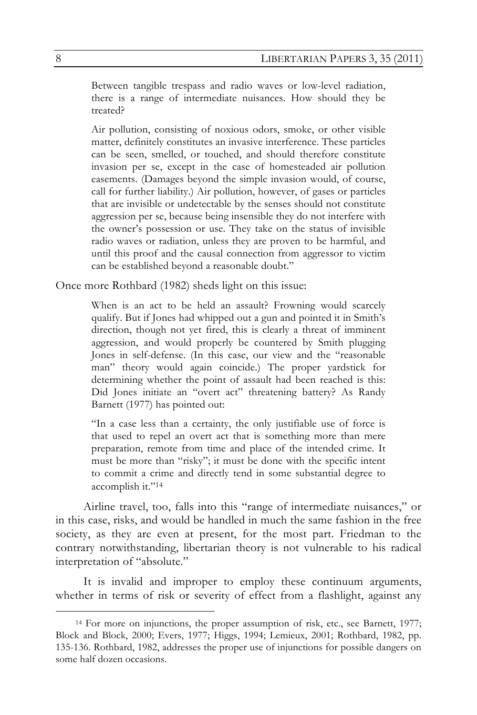Between tangible trespass and radio waves or low-level radiation, there is a range of intermediate nuisances. How should they be treated?

Air pollution, consisting of noxious odors, smoke, or other visible matter, definitely constitutes an invasive interference. These particles can be seen, smelled, or touched, and should therefore constitute invasion per se, except in the case of homesteaded air pollution easements. (Damages beyond the simple invasion would, of course, call for further liability.) Air pollution, however, of gases or particles that are invisible or undetectable by the senses should not constitute aggression per se, because being insensible they do not interfere with the owner's possession or use. They take on the status of invisible radio waves or radiation, unless they are proven to be harmful, and until this proof and the causal connection from aggressor to victim can be established beyond a reasonable doubt."

Once more Rothbard (1982) sheds light on this issue:

When is an act to be held an assault? Frowning would scarcely qualify. But if Jones had whipped out a gun and pointed it in Smith's direction, though not yet fired, this is clearly a threat of imminent aggression, and would properly be countered by Smith plugging Jones in self-defense. (In this case, our view and the "reasonable man" theory would again coincide.) The proper yardstick for determining whether the point of assault had been reached is this: Did Jones initiate an "overt act" threatening battery? As Randy Barnett (1977) has pointed out:

"In a case less than a certainty, the only justifiable use of force is that used to repel an overt act that is something more than mere preparation, remote from time and place of the intended crime. It must be more than "risky"; it must be done with the specific intent to commit a crime and directly tend in some substantial degree to accomplish it."14

Airline travel, too, falls into this "range of intermediate nuisances," or in this case, risks, and would be handled in much the same fashion in the free society, as they are even at present, for the most part. Friedman to the contrary notwithstanding, libertarian theory is not vulnerable to his radical interpretation of "absolute."

It is invalid and improper to employ these continuum arguments, whether in terms of risk or severity of effect from a flashlight, against any

 <sup>14</sup> For more on injunctions, the proper assumption of risk, etc., see Barnett, 1977; Block and Block, 2000; Evers, 1977; Higgs, 1994; Lemieux, 2001; Rothbard, 1982, pp. 135-136. Rothbard, 1982, addresses the proper use of injunctions for possible dangers on some half dozen occasions.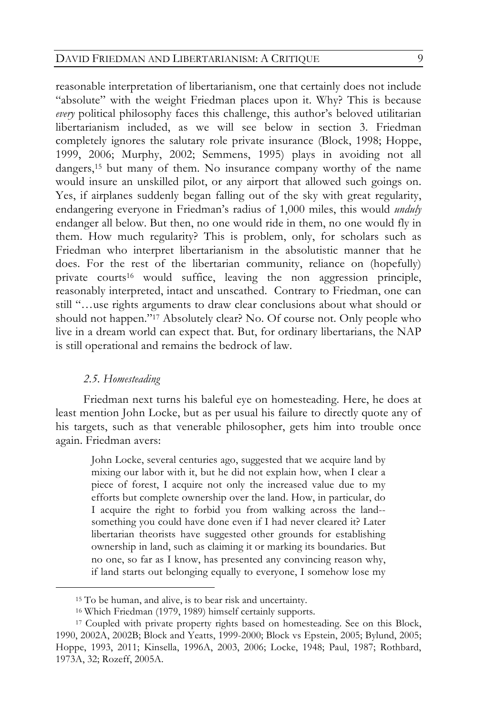reasonable interpretation of libertarianism, one that certainly does not include "absolute" with the weight Friedman places upon it. Why? This is because *every* political philosophy faces this challenge, this author's beloved utilitarian libertarianism included, as we will see below in section 3. Friedman completely ignores the salutary role private insurance (Block, 1998; Hoppe, 1999, 2006; Murphy, 2002; Semmens, 1995) plays in avoiding not all dangers,<sup>15</sup> but many of them. No insurance company worthy of the name would insure an unskilled pilot, or any airport that allowed such goings on. Yes, if airplanes suddenly began falling out of the sky with great regularity, endangering everyone in Friedman's radius of 1,000 miles, this would *unduly* endanger all below. But then, no one would ride in them, no one would fly in them. How much regularity? This is problem, only, for scholars such as Friedman who interpret libertarianism in the absolutistic manner that he does. For the rest of the libertarian community, reliance on (hopefully) private courts<sup>16</sup> would suffice, leaving the non aggression principle, reasonably interpreted, intact and unscathed. Contrary to Friedman, one can still "…use rights arguments to draw clear conclusions about what should or should not happen."17 Absolutely clear? No. Of course not. Only people who live in a dream world can expect that. But, for ordinary libertarians, the NAP is still operational and remains the bedrock of law.

# *2.5. Homesteading*

Friedman next turns his baleful eye on homesteading. Here, he does at least mention John Locke, but as per usual his failure to directly quote any of his targets, such as that venerable philosopher, gets him into trouble once again. Friedman avers:

John Locke, several centuries ago, suggested that we acquire land by mixing our labor with it, but he did not explain how, when I clear a piece of forest, I acquire not only the increased value due to my efforts but complete ownership over the land. How, in particular, do I acquire the right to forbid you from walking across the land- something you could have done even if I had never cleared it? Later libertarian theorists have suggested other grounds for establishing ownership in land, such as claiming it or marking its boundaries. But no one, so far as I know, has presented any convincing reason why, if land starts out belonging equally to everyone, I somehow lose my

 <sup>15</sup> To be human, and alive, is to bear risk and uncertainty.

<sup>16</sup> Which Friedman (1979, 1989) himself certainly supports.

<sup>&</sup>lt;sup>17</sup> Coupled with private property rights based on homesteading. See on this Block, 1990, 2002A, 2002B; Block and Yeatts, 1999-2000; Block vs Epstein, 2005; Bylund, 2005; Hoppe, 1993, 2011; Kinsella, 1996A, 2003, 2006; Locke, 1948; Paul, 1987; Rothbard, 1973A, 32; Rozeff, 2005A.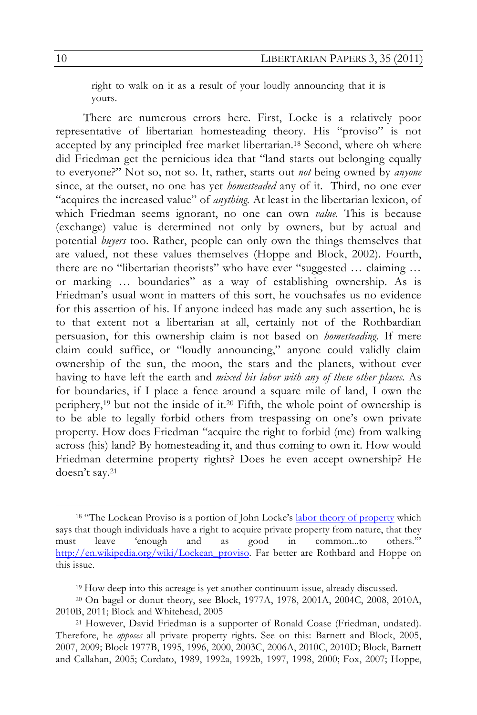right to walk on it as a result of your loudly announcing that it is yours.

There are numerous errors here. First, Locke is a relatively poor representative of libertarian homesteading theory. His "proviso" is not accepted by any principled free market libertarian.<sup>18</sup> Second, where oh where did Friedman get the pernicious idea that "land starts out belonging equally to everyone?" Not so, not so. It, rather, starts out *not* being owned by *anyone* since, at the outset, no one has yet *homesteaded* any of it. Third, no one ever "acquires the increased value" of *anything.* At least in the libertarian lexicon, of which Friedman seems ignorant, no one can own *value.* This is because (exchange) value is determined not only by owners, but by actual and potential *buyers* too. Rather, people can only own the things themselves that are valued, not these values themselves (Hoppe and Block, 2002). Fourth, there are no "libertarian theorists" who have ever "suggested … claiming … or marking … boundaries" as a way of establishing ownership. As is Friedman's usual wont in matters of this sort, he vouchsafes us no evidence for this assertion of his. If anyone indeed has made any such assertion, he is to that extent not a libertarian at all, certainly not of the Rothbardian persuasion, for this ownership claim is not based on *homesteading.* If mere claim could suffice, or "loudly announcing," anyone could validly claim ownership of the sun, the moon, the stars and the planets, without ever having to have left the earth and *mixed his labor with any of these other places.* As for boundaries, if I place a fence around a square mile of land, I own the periphery,19 but not the inside of it.20 Fifth, the whole point of ownership is to be able to legally forbid others from trespassing on one's own private property. How does Friedman "acquire the right to forbid (me) from walking across (his) land? By homesteading it, and thus coming to own it. How would Friedman determine property rights? Does he even accept ownership? He doesn't say.21

<sup>&</sup>lt;sup>18</sup> "The Lockean Proviso is a portion of John Locke's labor theory of property which says that though individuals have a right to acquire private property from nature, that they must leave 'enough and as good in common...to others.'" http://en.wikipedia.org/wiki/Lockean\_proviso. Far better are Rothbard and Hoppe on this issue.

<sup>19</sup> How deep into this acreage is yet another continuum issue, already discussed.

<sup>20</sup> On bagel or donut theory, see Block, 1977A, 1978, 2001A, 2004C, 2008, 2010A, 2010B, 2011; Block and Whitehead, 2005

<sup>21</sup> However, David Friedman is a supporter of Ronald Coase (Friedman, undated). Therefore, he *opposes* all private property rights. See on this: Barnett and Block, 2005, 2007, 2009; Block 1977B, 1995, 1996, 2000, 2003C, 2006A, 2010C, 2010D; Block, Barnett and Callahan, 2005; Cordato, 1989, 1992a, 1992b, 1997, 1998, 2000; Fox, 2007; Hoppe,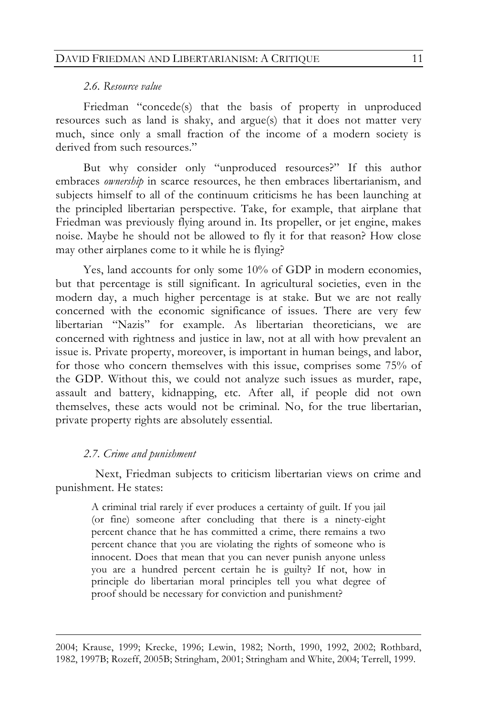#### DAVID FRIEDMAN AND LIBERTARIANISM: A CRITIQUE 11

# *2.6. Resource value*

Friedman "concede(s) that the basis of property in unproduced resources such as land is shaky, and argue(s) that it does not matter very much, since only a small fraction of the income of a modern society is derived from such resources."

But why consider only "unproduced resources?" If this author embraces *ownership* in scarce resources, he then embraces libertarianism, and subjects himself to all of the continuum criticisms he has been launching at the principled libertarian perspective. Take, for example, that airplane that Friedman was previously flying around in. Its propeller, or jet engine, makes noise. Maybe he should not be allowed to fly it for that reason? How close may other airplanes come to it while he is flying?

Yes, land accounts for only some 10% of GDP in modern economies, but that percentage is still significant. In agricultural societies, even in the modern day, a much higher percentage is at stake. But we are not really concerned with the economic significance of issues. There are very few libertarian "Nazis" for example. As libertarian theoreticians, we are concerned with rightness and justice in law, not at all with how prevalent an issue is. Private property, moreover, is important in human beings, and labor, for those who concern themselves with this issue, comprises some 75% of the GDP. Without this, we could not analyze such issues as murder, rape, assault and battery, kidnapping, etc. After all, if people did not own themselves, these acts would not be criminal. No, for the true libertarian, private property rights are absolutely essential.

#### *2.7. Crime and punishment*

Next, Friedman subjects to criticism libertarian views on crime and punishment. He states:

A criminal trial rarely if ever produces a certainty of guilt. If you jail (or fine) someone after concluding that there is a ninety-eight percent chance that he has committed a crime, there remains a two percent chance that you are violating the rights of someone who is innocent. Does that mean that you can never punish anyone unless you are a hundred percent certain he is guilty? If not, how in principle do libertarian moral principles tell you what degree of proof should be necessary for conviction and punishment?

 <sup>2004;</sup> Krause, 1999; Krecke, 1996; Lewin, 1982; North, 1990, 1992, 2002; Rothbard, 1982, 1997B; Rozeff, 2005B; Stringham, 2001; Stringham and White, 2004; Terrell, 1999.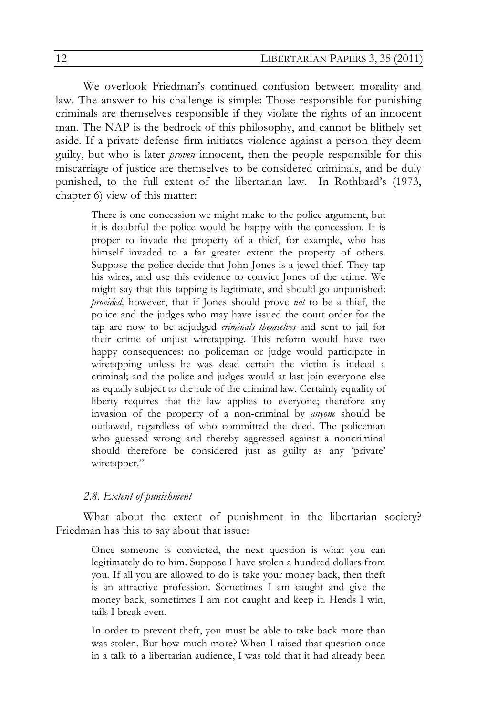We overlook Friedman's continued confusion between morality and law. The answer to his challenge is simple: Those responsible for punishing criminals are themselves responsible if they violate the rights of an innocent man. The NAP is the bedrock of this philosophy, and cannot be blithely set aside. If a private defense firm initiates violence against a person they deem guilty, but who is later *proven* innocent, then the people responsible for this miscarriage of justice are themselves to be considered criminals, and be duly punished, to the full extent of the libertarian law. In Rothbard's (1973, chapter 6) view of this matter:

There is one concession we might make to the police argument, but it is doubtful the police would be happy with the concession. It is proper to invade the property of a thief, for example, who has himself invaded to a far greater extent the property of others. Suppose the police decide that John Jones is a jewel thief. They tap his wires, and use this evidence to convict Jones of the crime. We might say that this tapping is legitimate, and should go unpunished: *provided,* however, that if Jones should prove *not* to be a thief, the police and the judges who may have issued the court order for the tap are now to be adjudged *criminals themselves* and sent to jail for their crime of unjust wiretapping. This reform would have two happy consequences: no policeman or judge would participate in wiretapping unless he was dead certain the victim is indeed a criminal; and the police and judges would at last join everyone else as equally subject to the rule of the criminal law. Certainly equality of liberty requires that the law applies to everyone; therefore any invasion of the property of a non-criminal by *anyone* should be outlawed, regardless of who committed the deed. The policeman who guessed wrong and thereby aggressed against a noncriminal should therefore be considered just as guilty as any 'private' wiretapper."

# *2.8. Extent of punishment*

What about the extent of punishment in the libertarian society? Friedman has this to say about that issue:

Once someone is convicted, the next question is what you can legitimately do to him. Suppose I have stolen a hundred dollars from you. If all you are allowed to do is take your money back, then theft is an attractive profession. Sometimes I am caught and give the money back, sometimes I am not caught and keep it. Heads I win, tails I break even.

In order to prevent theft, you must be able to take back more than was stolen. But how much more? When I raised that question once in a talk to a libertarian audience, I was told that it had already been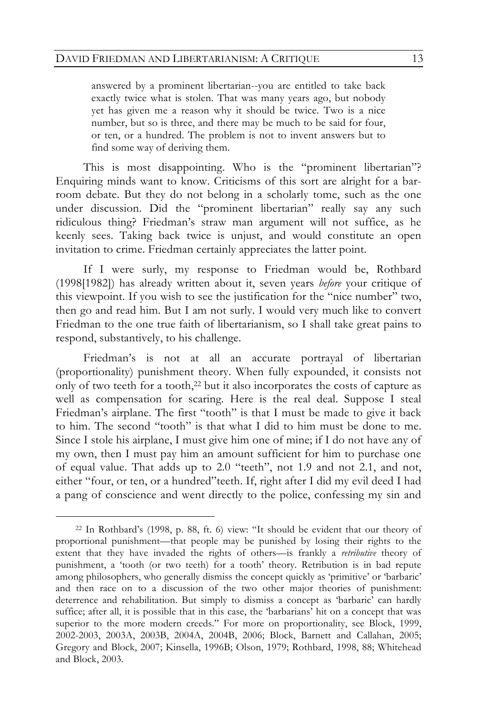answered by a prominent libertarian--you are entitled to take back exactly twice what is stolen. That was many years ago, but nobody yet has given me a reason why it should be twice. Two is a nice number, but so is three, and there may be much to be said for four, or ten, or a hundred. The problem is not to invent answers but to find some way of deriving them.

This is most disappointing. Who is the "prominent libertarian"? Enquiring minds want to know. Criticisms of this sort are alright for a barroom debate. But they do not belong in a scholarly tome, such as the one under discussion. Did the "prominent libertarian" really say any such ridiculous thing? Friedman's straw man argument will not suffice, as he keenly sees. Taking back twice is unjust, and would constitute an open invitation to crime. Friedman certainly appreciates the latter point.

If I were surly, my response to Friedman would be, Rothbard (1998[1982]) has already written about it, seven years *before* your critique of this viewpoint. If you wish to see the justification for the "nice number" two, then go and read him. But I am not surly. I would very much like to convert Friedman to the one true faith of libertarianism, so I shall take great pains to respond, substantively, to his challenge.

Friedman's is not at all an accurate portrayal of libertarian (proportionality) punishment theory. When fully expounded, it consists not only of two teeth for a tooth,22 but it also incorporates the costs of capture as well as compensation for scaring. Here is the real deal. Suppose I steal Friedman's airplane. The first "tooth" is that I must be made to give it back to him. The second "tooth" is that what I did to him must be done to me. Since I stole his airplane, I must give him one of mine; if I do not have any of my own, then I must pay him an amount sufficient for him to purchase one of equal value. That adds up to 2.0 "teeth", not 1.9 and not 2.1, and not, either "four, or ten, or a hundred"teeth. If, right after I did my evil deed I had a pang of conscience and went directly to the police, confessing my sin and

 <sup>22</sup> In Rothbard's (1998, p. 88, ft. 6) view: "It should be evident that our theory of proportional punishment—that people may be punished by losing their rights to the extent that they have invaded the rights of others—is frankly a *retributive* theory of punishment, a 'tooth (or two teeth) for a tooth' theory. Retribution is in bad repute among philosophers, who generally dismiss the concept quickly as 'primitive' or 'barbaric' and then race on to a discussion of the two other major theories of punishment: deterrence and rehabilitation. But simply to dismiss a concept as 'barbaric' can hardly suffice; after all, it is possible that in this case, the 'barbarians' hit on a concept that was superior to the more modern creeds." For more on proportionality, see Block, 1999, 2002-2003, 2003A, 2003B, 2004A, 2004B, 2006; Block, Barnett and Callahan, 2005; Gregory and Block, 2007; Kinsella, 1996B; Olson, 1979; Rothbard, 1998, 88; Whitehead and Block, 2003.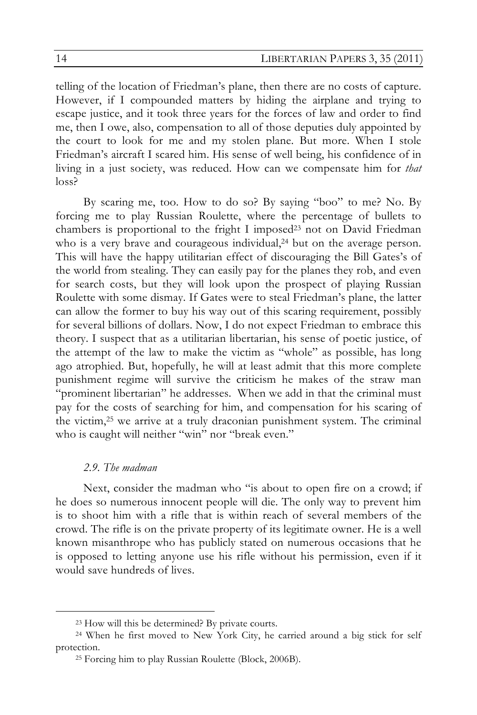telling of the location of Friedman's plane, then there are no costs of capture. However, if I compounded matters by hiding the airplane and trying to escape justice, and it took three years for the forces of law and order to find me, then I owe, also, compensation to all of those deputies duly appointed by the court to look for me and my stolen plane. But more. When I stole Friedman's aircraft I scared him. His sense of well being, his confidence of in living in a just society, was reduced. How can we compensate him for *that* loss?

By scaring me, too. How to do so? By saying "boo" to me? No. By forcing me to play Russian Roulette, where the percentage of bullets to chambers is proportional to the fright I imposed<sup>23</sup> not on David Friedman who is a very brave and courageous individual,<sup>24</sup> but on the average person. This will have the happy utilitarian effect of discouraging the Bill Gates's of the world from stealing. They can easily pay for the planes they rob, and even for search costs, but they will look upon the prospect of playing Russian Roulette with some dismay. If Gates were to steal Friedman's plane, the latter can allow the former to buy his way out of this scaring requirement, possibly for several billions of dollars. Now, I do not expect Friedman to embrace this theory. I suspect that as a utilitarian libertarian, his sense of poetic justice, of the attempt of the law to make the victim as "whole" as possible, has long ago atrophied. But, hopefully, he will at least admit that this more complete punishment regime will survive the criticism he makes of the straw man "prominent libertarian" he addresses. When we add in that the criminal must pay for the costs of searching for him, and compensation for his scaring of the victim,25 we arrive at a truly draconian punishment system. The criminal who is caught will neither "win" nor "break even."

# *2.9. The madman*

Next, consider the madman who "is about to open fire on a crowd; if he does so numerous innocent people will die. The only way to prevent him is to shoot him with a rifle that is within reach of several members of the crowd. The rifle is on the private property of its legitimate owner. He is a well known misanthrope who has publicly stated on numerous occasions that he is opposed to letting anyone use his rifle without his permission, even if it would save hundreds of lives.

 <sup>23</sup> How will this be determined? By private courts.

<sup>24</sup> When he first moved to New York City, he carried around a big stick for self protection.

<sup>25</sup> Forcing him to play Russian Roulette (Block, 2006B).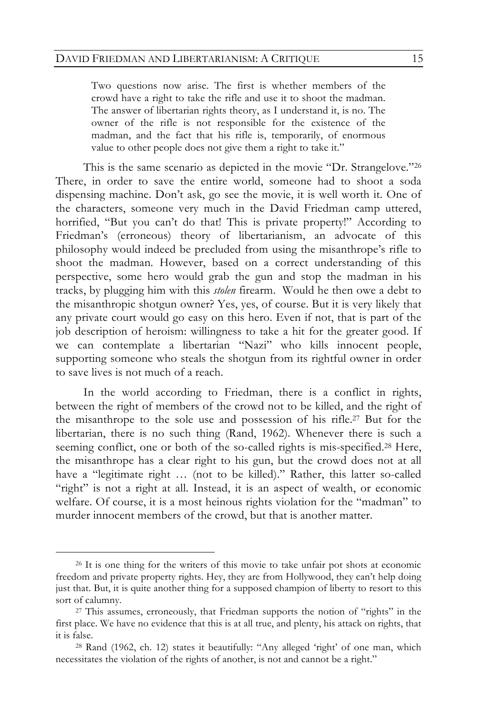Two questions now arise. The first is whether members of the crowd have a right to take the rifle and use it to shoot the madman. The answer of libertarian rights theory, as I understand it, is no. The owner of the rifle is not responsible for the existence of the madman, and the fact that his rifle is, temporarily, of enormous value to other people does not give them a right to take it."

This is the same scenario as depicted in the movie "Dr. Strangelove."26 There, in order to save the entire world, someone had to shoot a soda dispensing machine. Don't ask, go see the movie, it is well worth it. One of the characters, someone very much in the David Friedman camp uttered, horrified, "But you can't do that! This is private property!" According to Friedman's (erroneous) theory of libertarianism, an advocate of this philosophy would indeed be precluded from using the misanthrope's rifle to shoot the madman. However, based on a correct understanding of this perspective, some hero would grab the gun and stop the madman in his tracks, by plugging him with this *stolen* firearm. Would he then owe a debt to the misanthropic shotgun owner? Yes, yes, of course. But it is very likely that any private court would go easy on this hero. Even if not, that is part of the job description of heroism: willingness to take a hit for the greater good. If we can contemplate a libertarian "Nazi" who kills innocent people, supporting someone who steals the shotgun from its rightful owner in order to save lives is not much of a reach.

In the world according to Friedman, there is a conflict in rights, between the right of members of the crowd not to be killed, and the right of the misanthrope to the sole use and possession of his rifle.27 But for the libertarian, there is no such thing (Rand, 1962). Whenever there is such a seeming conflict, one or both of the so-called rights is mis-specified.28 Here, the misanthrope has a clear right to his gun, but the crowd does not at all have a "legitimate right … (not to be killed)." Rather, this latter so-called "right" is not a right at all. Instead, it is an aspect of wealth, or economic welfare. Of course, it is a most heinous rights violation for the "madman" to murder innocent members of the crowd, but that is another matter.

 <sup>26</sup> It is one thing for the writers of this movie to take unfair pot shots at economic freedom and private property rights. Hey, they are from Hollywood, they can't help doing just that. But, it is quite another thing for a supposed champion of liberty to resort to this sort of calumny.

<sup>27</sup> This assumes, erroneously, that Friedman supports the notion of "rights" in the first place. We have no evidence that this is at all true, and plenty, his attack on rights, that it is false.

<sup>&</sup>lt;sup>28</sup> Rand (1962, ch. 12) states it beautifully: "Any alleged 'right' of one man, which necessitates the violation of the rights of another, is not and cannot be a right."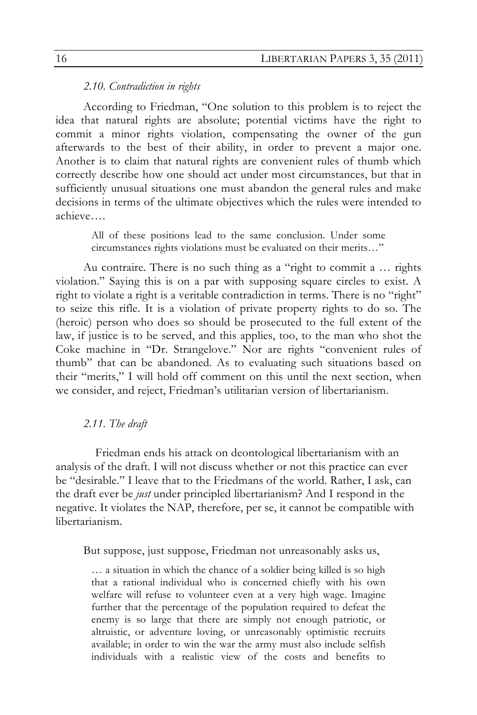#### *2.10. Contradiction in rights*

According to Friedman, "One solution to this problem is to reject the idea that natural rights are absolute; potential victims have the right to commit a minor rights violation, compensating the owner of the gun afterwards to the best of their ability, in order to prevent a major one. Another is to claim that natural rights are convenient rules of thumb which correctly describe how one should act under most circumstances, but that in sufficiently unusual situations one must abandon the general rules and make decisions in terms of the ultimate objectives which the rules were intended to achieve….

All of these positions lead to the same conclusion. Under some circumstances rights violations must be evaluated on their merits…"

Au contraire. There is no such thing as a "right to commit a … rights violation." Saying this is on a par with supposing square circles to exist. A right to violate a right is a veritable contradiction in terms. There is no "right" to seize this rifle. It is a violation of private property rights to do so. The (heroic) person who does so should be prosecuted to the full extent of the law, if justice is to be served, and this applies, too, to the man who shot the Coke machine in "Dr. Strangelove." Nor are rights "convenient rules of thumb" that can be abandoned. As to evaluating such situations based on their "merits," I will hold off comment on this until the next section, when we consider, and reject, Friedman's utilitarian version of libertarianism.

# *2.11. The draft*

Friedman ends his attack on deontological libertarianism with an analysis of the draft. I will not discuss whether or not this practice can ever be "desirable." I leave that to the Friedmans of the world. Rather, I ask, can the draft ever be *just* under principled libertarianism? And I respond in the negative. It violates the NAP, therefore, per se, it cannot be compatible with libertarianism.

But suppose, just suppose, Friedman not unreasonably asks us,

… a situation in which the chance of a soldier being killed is so high that a rational individual who is concerned chiefly with his own welfare will refuse to volunteer even at a very high wage. Imagine further that the percentage of the population required to defeat the enemy is so large that there are simply not enough patriotic, or altruistic, or adventure loving, or unreasonably optimistic recruits available; in order to win the war the army must also include selfish individuals with a realistic view of the costs and benefits to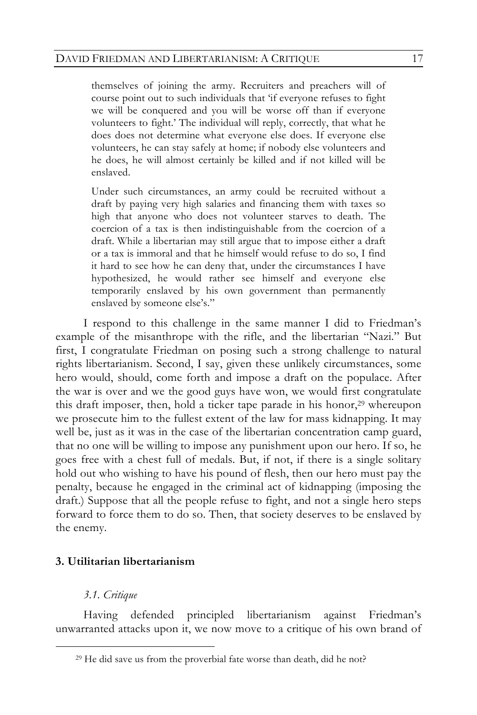themselves of joining the army. Recruiters and preachers will of course point out to such individuals that 'if everyone refuses to fight we will be conquered and you will be worse off than if everyone volunteers to fight.' The individual will reply, correctly, that what he does does not determine what everyone else does. If everyone else volunteers, he can stay safely at home; if nobody else volunteers and he does, he will almost certainly be killed and if not killed will be enslaved.

Under such circumstances, an army could be recruited without a draft by paying very high salaries and financing them with taxes so high that anyone who does not volunteer starves to death. The coercion of a tax is then indistinguishable from the coercion of a draft. While a libertarian may still argue that to impose either a draft or a tax is immoral and that he himself would refuse to do so, I find it hard to see how he can deny that, under the circumstances I have hypothesized, he would rather see himself and everyone else temporarily enslaved by his own government than permanently enslaved by someone else's."

I respond to this challenge in the same manner I did to Friedman's example of the misanthrope with the rifle, and the libertarian "Nazi." But first, I congratulate Friedman on posing such a strong challenge to natural rights libertarianism. Second, I say, given these unlikely circumstances, some hero would, should, come forth and impose a draft on the populace. After the war is over and we the good guys have won, we would first congratulate this draft imposer, then, hold a ticker tape parade in his honor,<sup>29</sup> whereupon we prosecute him to the fullest extent of the law for mass kidnapping. It may well be, just as it was in the case of the libertarian concentration camp guard, that no one will be willing to impose any punishment upon our hero. If so, he goes free with a chest full of medals. But, if not, if there is a single solitary hold out who wishing to have his pound of flesh, then our hero must pay the penalty, because he engaged in the criminal act of kidnapping (imposing the draft.) Suppose that all the people refuse to fight, and not a single hero steps forward to force them to do so. Then, that society deserves to be enslaved by the enemy.

## **3. Utilitarian libertarianism**

#### *3.1. Critique*

Having defended principled libertarianism against Friedman's unwarranted attacks upon it, we now move to a critique of his own brand of

 <sup>29</sup> He did save us from the proverbial fate worse than death, did he not?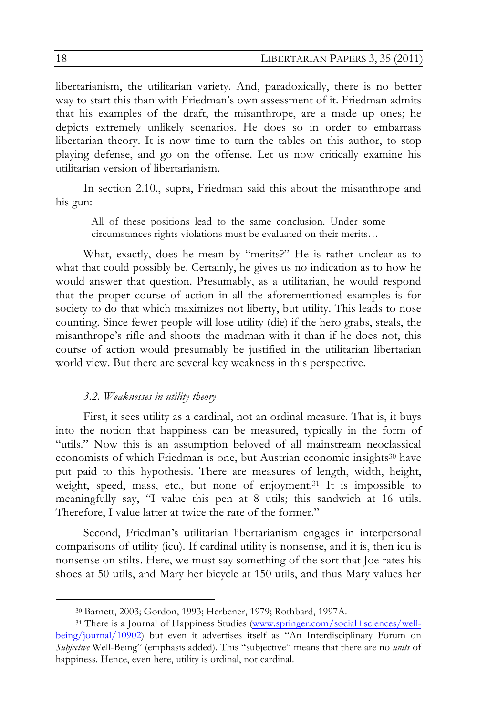libertarianism, the utilitarian variety. And, paradoxically, there is no better way to start this than with Friedman's own assessment of it. Friedman admits that his examples of the draft, the misanthrope, are a made up ones; he depicts extremely unlikely scenarios. He does so in order to embarrass libertarian theory. It is now time to turn the tables on this author, to stop playing defense, and go on the offense. Let us now critically examine his utilitarian version of libertarianism.

In section 2.10., supra, Friedman said this about the misanthrope and his gun:

All of these positions lead to the same conclusion. Under some circumstances rights violations must be evaluated on their merits…

What, exactly, does he mean by "merits?" He is rather unclear as to what that could possibly be. Certainly, he gives us no indication as to how he would answer that question. Presumably, as a utilitarian, he would respond that the proper course of action in all the aforementioned examples is for society to do that which maximizes not liberty, but utility. This leads to nose counting. Since fewer people will lose utility (die) if the hero grabs, steals, the misanthrope's rifle and shoots the madman with it than if he does not, this course of action would presumably be justified in the utilitarian libertarian world view. But there are several key weakness in this perspective.

# *3.2. Weaknesses in utility theory*

First, it sees utility as a cardinal, not an ordinal measure. That is, it buys into the notion that happiness can be measured, typically in the form of "utils." Now this is an assumption beloved of all mainstream neoclassical economists of which Friedman is one, but Austrian economic insights<sup>30</sup> have put paid to this hypothesis. There are measures of length, width, height, weight, speed, mass, etc., but none of enjoyment.<sup>31</sup> It is impossible to meaningfully say, "I value this pen at 8 utils; this sandwich at 16 utils. Therefore, I value latter at twice the rate of the former."

Second, Friedman's utilitarian libertarianism engages in interpersonal comparisons of utility (icu). If cardinal utility is nonsense, and it is, then icu is nonsense on stilts. Here, we must say something of the sort that Joe rates his shoes at 50 utils, and Mary her bicycle at 150 utils, and thus Mary values her

 <sup>30</sup> Barnett, 2003; Gordon, 1993; Herbener, 1979; Rothbard, 1997A.

<sup>31</sup> There is a Journal of Happiness Studies (www.springer.com/social+sciences/wellbeing/journal/10902) but even it advertises itself as "An Interdisciplinary Forum on *Subjective* Well-Being" (emphasis added). This "subjective" means that there are no *units* of happiness. Hence, even here, utility is ordinal, not cardinal.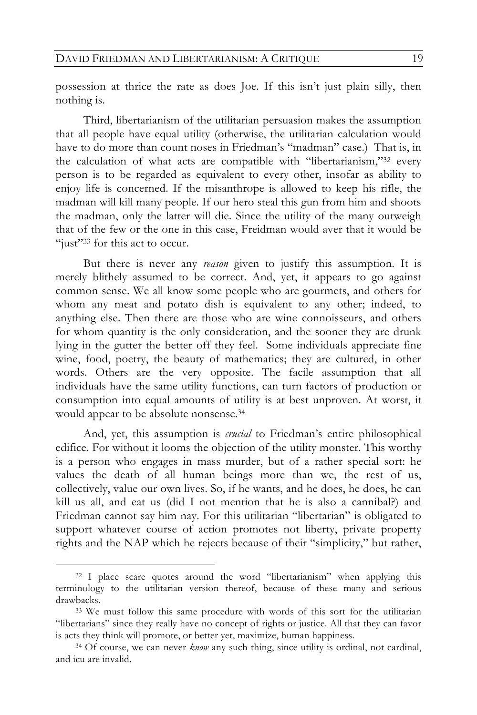possession at thrice the rate as does Joe. If this isn't just plain silly, then nothing is.

Third, libertarianism of the utilitarian persuasion makes the assumption that all people have equal utility (otherwise, the utilitarian calculation would have to do more than count noses in Friedman's "madman" case.) That is, in the calculation of what acts are compatible with "libertarianism,"32 every person is to be regarded as equivalent to every other, insofar as ability to enjoy life is concerned. If the misanthrope is allowed to keep his rifle, the madman will kill many people. If our hero steal this gun from him and shoots the madman, only the latter will die. Since the utility of the many outweigh that of the few or the one in this case, Freidman would aver that it would be "just"33 for this act to occur.

But there is never any *reason* given to justify this assumption. It is merely blithely assumed to be correct. And, yet, it appears to go against common sense. We all know some people who are gourmets, and others for whom any meat and potato dish is equivalent to any other; indeed, to anything else. Then there are those who are wine connoisseurs, and others for whom quantity is the only consideration, and the sooner they are drunk lying in the gutter the better off they feel. Some individuals appreciate fine wine, food, poetry, the beauty of mathematics; they are cultured, in other words. Others are the very opposite. The facile assumption that all individuals have the same utility functions, can turn factors of production or consumption into equal amounts of utility is at best unproven. At worst, it would appear to be absolute nonsense.34

And, yet, this assumption is *crucial* to Friedman's entire philosophical edifice. For without it looms the objection of the utility monster. This worthy is a person who engages in mass murder, but of a rather special sort: he values the death of all human beings more than we, the rest of us, collectively, value our own lives. So, if he wants, and he does, he does, he can kill us all, and eat us (did I not mention that he is also a cannibal?) and Friedman cannot say him nay. For this utilitarian "libertarian" is obligated to support whatever course of action promotes not liberty, private property rights and the NAP which he rejects because of their "simplicity," but rather,

<sup>&</sup>lt;sup>32</sup> I place scare quotes around the word "libertarianism" when applying this terminology to the utilitarian version thereof, because of these many and serious drawbacks.

<sup>33</sup> We must follow this same procedure with words of this sort for the utilitarian "libertarians" since they really have no concept of rights or justice. All that they can favor is acts they think will promote, or better yet, maximize, human happiness.

<sup>34</sup> Of course, we can never *know* any such thing, since utility is ordinal, not cardinal, and icu are invalid.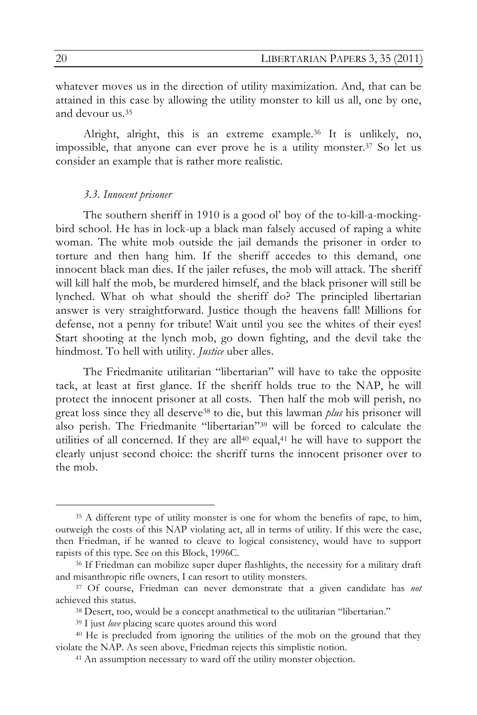whatever moves us in the direction of utility maximization. And, that can be attained in this case by allowing the utility monster to kill us all, one by one, and devour us.35

Alright, alright, this is an extreme example.36 It is unlikely, no, impossible, that anyone can ever prove he is a utility monster.37 So let us consider an example that is rather more realistic.

# *3.3. Innocent prisoner*

The southern sheriff in 1910 is a good ol' boy of the to-kill-a-mockingbird school. He has in lock-up a black man falsely accused of raping a white woman. The white mob outside the jail demands the prisoner in order to torture and then hang him. If the sheriff accedes to this demand, one innocent black man dies. If the jailer refuses, the mob will attack. The sheriff will kill half the mob, be murdered himself, and the black prisoner will still be lynched. What oh what should the sheriff do? The principled libertarian answer is very straightforward. Justice though the heavens fall! Millions for defense, not a penny for tribute! Wait until you see the whites of their eyes! Start shooting at the lynch mob, go down fighting, and the devil take the hindmost. To hell with utility. *Justice* uber alles.

The Friedmanite utilitarian "libertarian" will have to take the opposite tack, at least at first glance. If the sheriff holds true to the NAP, he will protect the innocent prisoner at all costs. Then half the mob will perish, no great loss since they all deserve38 to die, but this lawman *plus* his prisoner will also perish. The Friedmanite "libertarian"39 will be forced to calculate the utilities of all concerned. If they are all<sup>40</sup> equal,<sup>41</sup> he will have to support the clearly unjust second choice: the sheriff turns the innocent prisoner over to the mob.

 <sup>35</sup> A different type of utility monster is one for whom the benefits of rape, to him, outweigh the costs of this NAP violating act, all in terms of utility. If this were the case, then Friedman, if he wanted to cleave to logical consistency, would have to support rapists of this type. See on this Block, 1996C.

<sup>36</sup> If Friedman can mobilize super duper flashlights, the necessity for a military draft and misanthropic rifle owners, I can resort to utility monsters. 37 Of course, Friedman can never demonstrate that a given candidate has *not*

achieved this status.

<sup>38</sup> Desert, too, would be a concept anathmetical to the utilitarian "libertarian."

<sup>39</sup> I just *love* placing scare quotes around this word

<sup>40</sup> He is precluded from ignoring the utilities of the mob on the ground that they violate the NAP. As seen above, Friedman rejects this simplistic notion.

<sup>41</sup> An assumption necessary to ward off the utility monster objection.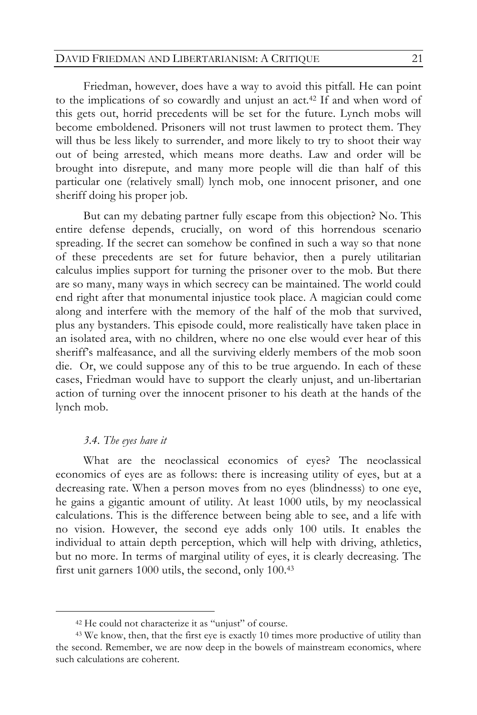# DAVID FRIEDMAN AND LIBERTARIANISM: A CRITIQUE 21

Friedman, however, does have a way to avoid this pitfall. He can point to the implications of so cowardly and unjust an act.42 If and when word of this gets out, horrid precedents will be set for the future. Lynch mobs will become emboldened. Prisoners will not trust lawmen to protect them. They will thus be less likely to surrender, and more likely to try to shoot their way out of being arrested, which means more deaths. Law and order will be brought into disrepute, and many more people will die than half of this particular one (relatively small) lynch mob, one innocent prisoner, and one sheriff doing his proper job.

But can my debating partner fully escape from this objection? No. This entire defense depends, crucially, on word of this horrendous scenario spreading. If the secret can somehow be confined in such a way so that none of these precedents are set for future behavior, then a purely utilitarian calculus implies support for turning the prisoner over to the mob. But there are so many, many ways in which secrecy can be maintained. The world could end right after that monumental injustice took place. A magician could come along and interfere with the memory of the half of the mob that survived, plus any bystanders. This episode could, more realistically have taken place in an isolated area, with no children, where no one else would ever hear of this sheriff's malfeasance, and all the surviving elderly members of the mob soon die. Or, we could suppose any of this to be true arguendo. In each of these cases, Friedman would have to support the clearly unjust, and un-libertarian action of turning over the innocent prisoner to his death at the hands of the lynch mob.

## *3.4. The eyes have it*

What are the neoclassical economics of eyes? The neoclassical economics of eyes are as follows: there is increasing utility of eyes, but at a decreasing rate. When a person moves from no eyes (blindnesss) to one eye, he gains a gigantic amount of utility. At least 1000 utils, by my neoclassical calculations. This is the difference between being able to see, and a life with no vision. However, the second eye adds only 100 utils. It enables the individual to attain depth perception, which will help with driving, athletics, but no more. In terms of marginal utility of eyes, it is clearly decreasing. The first unit garners 1000 utils, the second, only 100.43

 <sup>42</sup> He could not characterize it as "unjust" of course.

<sup>43</sup> We know, then, that the first eye is exactly 10 times more productive of utility than the second. Remember, we are now deep in the bowels of mainstream economics, where such calculations are coherent.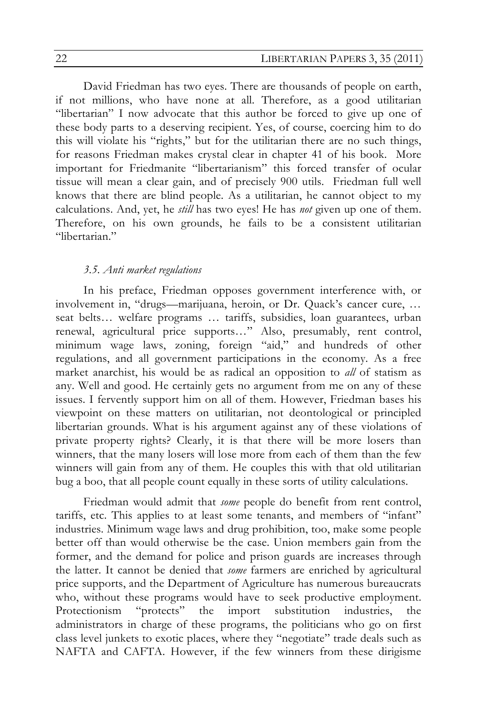David Friedman has two eyes. There are thousands of people on earth, if not millions, who have none at all. Therefore, as a good utilitarian "libertarian" I now advocate that this author be forced to give up one of these body parts to a deserving recipient. Yes, of course, coercing him to do this will violate his "rights," but for the utilitarian there are no such things, for reasons Friedman makes crystal clear in chapter 41 of his book. More important for Friedmanite "libertarianism" this forced transfer of ocular tissue will mean a clear gain, and of precisely 900 utils. Friedman full well knows that there are blind people. As a utilitarian, he cannot object to my calculations. And, yet, he *still* has two eyes! He has *not* given up one of them. Therefore, on his own grounds, he fails to be a consistent utilitarian "libertarian."

# *3.5. Anti market regulations*

In his preface, Friedman opposes government interference with, or involvement in, "drugs—marijuana, heroin, or Dr. Quack's cancer cure, … seat belts… welfare programs … tariffs, subsidies, loan guarantees, urban renewal, agricultural price supports…" Also, presumably, rent control, minimum wage laws, zoning, foreign "aid," and hundreds of other regulations, and all government participations in the economy. As a free market anarchist, his would be as radical an opposition to *all* of statism as any. Well and good. He certainly gets no argument from me on any of these issues. I fervently support him on all of them. However, Friedman bases his viewpoint on these matters on utilitarian, not deontological or principled libertarian grounds. What is his argument against any of these violations of private property rights? Clearly, it is that there will be more losers than winners, that the many losers will lose more from each of them than the few winners will gain from any of them. He couples this with that old utilitarian bug a boo, that all people count equally in these sorts of utility calculations.

Friedman would admit that *some* people do benefit from rent control, tariffs, etc. This applies to at least some tenants, and members of "infant" industries. Minimum wage laws and drug prohibition, too, make some people better off than would otherwise be the case. Union members gain from the former, and the demand for police and prison guards are increases through the latter. It cannot be denied that *some* farmers are enriched by agricultural price supports, and the Department of Agriculture has numerous bureaucrats who, without these programs would have to seek productive employment. Protectionism "protects" the import substitution industries, the administrators in charge of these programs, the politicians who go on first class level junkets to exotic places, where they "negotiate" trade deals such as NAFTA and CAFTA. However, if the few winners from these dirigisme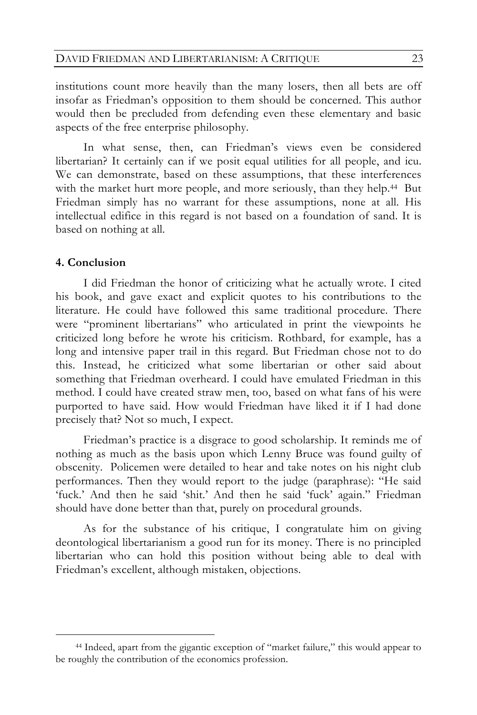institutions count more heavily than the many losers, then all bets are off insofar as Friedman's opposition to them should be concerned. This author would then be precluded from defending even these elementary and basic aspects of the free enterprise philosophy.

In what sense, then, can Friedman's views even be considered libertarian? It certainly can if we posit equal utilities for all people, and icu. We can demonstrate, based on these assumptions, that these interferences with the market hurt more people, and more seriously, than they help.<sup>44</sup> But Friedman simply has no warrant for these assumptions, none at all. His intellectual edifice in this regard is not based on a foundation of sand. It is based on nothing at all.

# **4. Conclusion**

I did Friedman the honor of criticizing what he actually wrote. I cited his book, and gave exact and explicit quotes to his contributions to the literature. He could have followed this same traditional procedure. There were "prominent libertarians" who articulated in print the viewpoints he criticized long before he wrote his criticism. Rothbard, for example, has a long and intensive paper trail in this regard. But Friedman chose not to do this. Instead, he criticized what some libertarian or other said about something that Friedman overheard. I could have emulated Friedman in this method. I could have created straw men, too, based on what fans of his were purported to have said. How would Friedman have liked it if I had done precisely that? Not so much, I expect.

Friedman's practice is a disgrace to good scholarship. It reminds me of nothing as much as the basis upon which Lenny Bruce was found guilty of obscenity. Policemen were detailed to hear and take notes on his night club performances. Then they would report to the judge (paraphrase): "He said 'fuck.' And then he said 'shit.' And then he said 'fuck' again." Friedman should have done better than that, purely on procedural grounds.

As for the substance of his critique, I congratulate him on giving deontological libertarianism a good run for its money. There is no principled libertarian who can hold this position without being able to deal with Friedman's excellent, although mistaken, objections.

 <sup>44</sup> Indeed, apart from the gigantic exception of "market failure," this would appear to be roughly the contribution of the economics profession.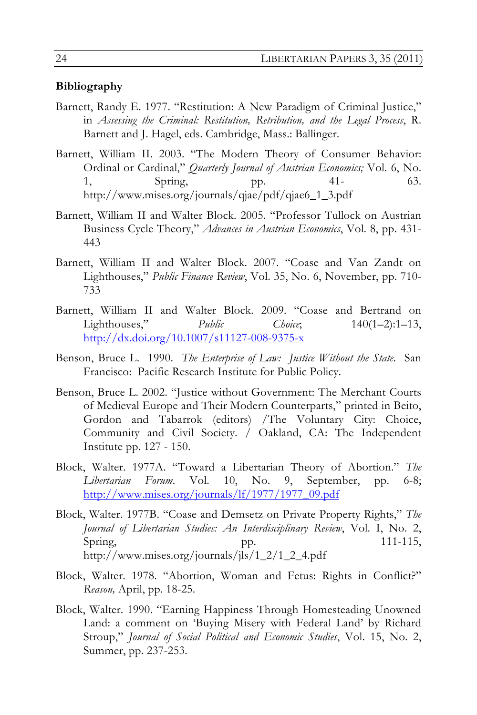## **Bibliography**

- Barnett, Randy E. 1977. "Restitution: A New Paradigm of Criminal Justice," in *Assessing the Criminal: Restitution, Retribution, and the Legal Process*, R. Barnett and J. Hagel, eds. Cambridge, Mass.: Ballinger.
- Barnett, William II. 2003. "The Modern Theory of Consumer Behavior: Ordinal or Cardinal," *Quarterly Journal of Austrian Economics;* Vol. 6, No. 1, Spring, pp. 41- 63. http://www.mises.org/journals/qjae/pdf/qjae6\_1\_3.pdf
- Barnett, William II and Walter Block. 2005. "Professor Tullock on Austrian Business Cycle Theory," *Advances in Austrian Economics*, Vol. 8, pp. 431- 443
- Barnett, William II and Walter Block. 2007. "Coase and Van Zandt on Lighthouses," *Public Finance Review*, Vol. 35, No. 6, November, pp. 710- 733
- Barnett, William II and Walter Block. 2009. "Coase and Bertrand on Lighthouses," *Public Choice*; 140(1–2):1–13, http://dx.doi.org/10.1007/s11127-008-9375-x
- Benson, Bruce L. 1990. *The Enterprise of Law: Justice Without the State*. San Francisco: Pacific Research Institute for Public Policy.
- Benson, Bruce L. 2002. "Justice without Government: The Merchant Courts of Medieval Europe and Their Modern Counterparts," printed in Beito, Gordon and Tabarrok (editors) /The Voluntary City: Choice, Community and Civil Society. / Oakland, CA: The Independent Institute pp. 127 - 150.
- Block, Walter. 1977A. "Toward a Libertarian Theory of Abortion." *The Libertarian Forum*. Vol. 10, No. 9, September, pp. 6-8; http://www.mises.org/journals/lf/1977/1977\_09.pdf
- Block, Walter. 1977B. "Coase and Demsetz on Private Property Rights," *The Journal of Libertarian Studies: An Interdisciplinary Review*, Vol. I, No. 2, Spring, pp. 111-115, http://www.mises.org/journals/jls/1\_2/1\_2\_4.pdf
- Block, Walter. 1978. "Abortion, Woman and Fetus: Rights in Conflict?" *Reason,* April, pp. 18-25.
- Block, Walter. 1990. "Earning Happiness Through Homesteading Unowned Land: a comment on 'Buying Misery with Federal Land' by Richard Stroup," *Journal of Social Political and Economic Studies*, Vol. 15, No. 2, Summer, pp. 237-253.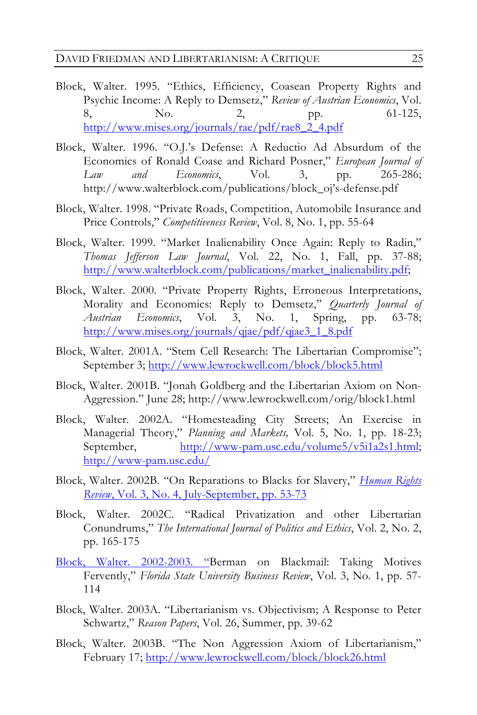- Block, Walter. 1995. "Ethics, Efficiency, Coasean Property Rights and Psychic Income: A Reply to Demsetz," *Review of Austrian Economics*, Vol. 8, No. 2, pp. 61-125, http://www.mises.org/journals/rae/pdf/rae8\_2\_4.pdf
- Block, Walter. 1996. "O.J.'s Defense: A Reductio Ad Absurdum of the Economics of Ronald Coase and Richard Posner," *European Journal of Law and Economics*, Vol. 3, pp. 265-286; http://www.walterblock.com/publications/block\_oj's-defense.pdf
- Block, Walter. 1998. "Private Roads, Competition, Automobile Insurance and Price Controls," *Competitiveness Review*, Vol. 8, No. 1, pp. 55-64
- Block, Walter. 1999. "Market Inalienability Once Again: Reply to Radin," *Thomas Jefferson Law Journal*, Vol. 22, No. 1, Fall, pp. 37-88; http://www.walterblock.com/publications/market\_inalienability.pdf;
- Block, Walter. 2000. "Private Property Rights, Erroneous Interpretations, Morality and Economics: Reply to Demsetz," *Quarterly Journal of Austrian Economics*, Vol. 3, No. 1, Spring, pp. 63-78; http://www.mises.org/journals/qjae/pdf/qjae3\_1\_8.pdf
- Block, Walter. 2001A. "Stem Cell Research: The Libertarian Compromise"; September 3; http://www.lewrockwell.com/block/block5.html
- Block, Walter. 2001B. "Jonah Goldberg and the Libertarian Axiom on Non-Aggression." June 28; http://www.lewrockwell.com/orig/block1.html
- Block, Walter. 2002A. "Homesteading City Streets; An Exercise in Managerial Theory," *Planning and Markets,* Vol. 5, No. 1, pp. 18-23; September, http://www-pam.usc.edu/volume5/v5i1a2s1.html; http://www-pam.usc.edu/
- Block, Walter. 2002B. "On Reparations to Blacks for Slavery," *Human Rights Review*, Vol. 3, No. 4, July-September, pp. 53-73
- Block, Walter. 2002C. "Radical Privatization and other Libertarian Conundrums," *The International Journal of Politics and Ethics*, Vol. 2, No. 2, pp. 165-175
- Block, Walter. 2002-2003. "Berman on Blackmail: Taking Motives Fervently," *Florida State University Business Review*, Vol. 3, No. 1, pp. 57- 114
- Block, Walter. 2003A. "Libertarianism vs. Objectivism; A Response to Peter Schwartz," *Reason Papers*, Vol. 26, Summer, pp. 39-62
- Block, Walter. 2003B. "The Non Aggression Axiom of Libertarianism," February 17; http://www.lewrockwell.com/block/block26.html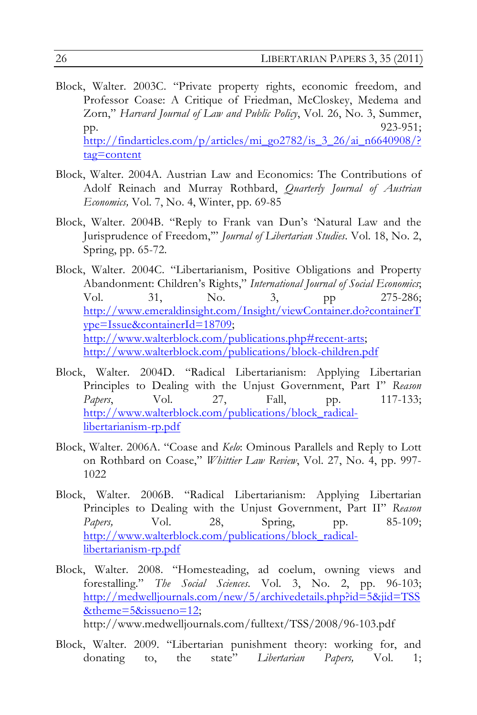- Block, Walter. 2003C. "Private property rights, economic freedom, and Professor Coase: A Critique of Friedman, McCloskey, Medema and Zorn," *Harvard Journal of Law and Public Policy*, Vol. 26, No. 3, Summer, pp. 923-951; http://findarticles.com/p/articles/mi\_go2782/is\_3\_26/ai\_n6640908/? tag=content
- Block, Walter. 2004A. Austrian Law and Economics: The Contributions of Adolf Reinach and Murray Rothbard, *Quarterly Journal of Austrian Economics,* Vol. 7, No. 4, Winter, pp. 69-85
- Block, Walter. 2004B. "Reply to Frank van Dun's 'Natural Law and the Jurisprudence of Freedom,'" *Journal of Libertarian Studies*. Vol. 18, No. 2, Spring, pp. 65-72.
- Block, Walter. 2004C. "Libertarianism, Positive Obligations and Property Abandonment: Children's Rights," *International Journal of Social Economics*; Vol. 31, No. 3, pp 275-286; http://www.emeraldinsight.com/Insight/viewContainer.do?containerT ype=Issue&containerId=18709; http://www.walterblock.com/publications.php#recent-arts; http://www.walterblock.com/publications/block-children.pdf
- Block, Walter. 2004D. "Radical Libertarianism: Applying Libertarian Principles to Dealing with the Unjust Government, Part I" *Reason Papers*, Vol. 27, Fall, pp. 117-133; http://www.walterblock.com/publications/block\_radicallibertarianism-rp.pdf
- Block, Walter. 2006A. "Coase and *Kelo*: Ominous Parallels and Reply to Lott on Rothbard on Coase," *Whittier Law Review*, Vol. 27, No. 4, pp. 997- 1022
- Block, Walter. 2006B. "Radical Libertarianism: Applying Libertarian Principles to Dealing with the Unjust Government, Part II" *Reason*  Papers, Vol. 28, Spring, pp. 85-109; http://www.walterblock.com/publications/block\_radicallibertarianism-rp.pdf
- Block, Walter. 2008. "Homesteading, ad coelum, owning views and forestalling." *The Social Sciences*. Vol. 3, No. 2, pp. 96-103; http://medwelljournals.com/new/5/archivedetails.php?id=5&jid=TSS &theme=5&issueno=12; http://www.medwelljournals.com/fulltext/TSS/2008/96-103.pdf
- Block, Walter. 2009. "Libertarian punishment theory: working for, and donating to, the state" *Libertarian Papers,* Vol. 1;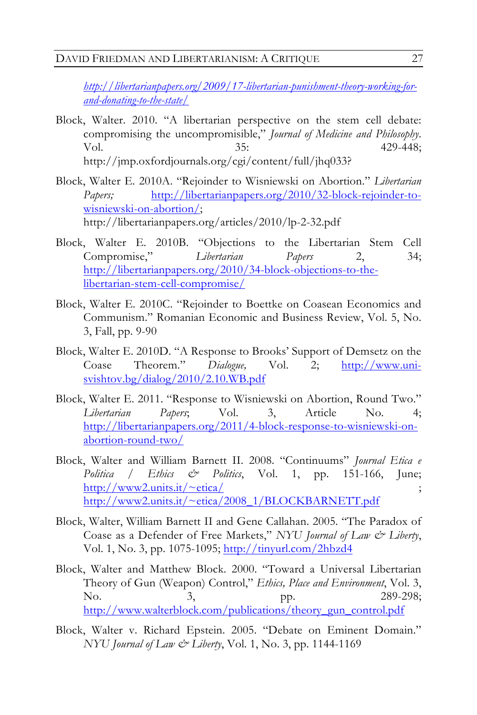## DAVID FRIEDMAN AND LIBERTARIANISM: A CRITIQUE 27

*http://libertarianpapers.org/2009/17-libertarian-punishment-theory-working-forand-donating-to-the-state/*

- Block, Walter. 2010. "A libertarian perspective on the stem cell debate: compromising the uncompromisible," *Journal of Medicine and Philosophy*. Vol. 29-448; http://jmp.oxfordjournals.org/cgi/content/full/jhq033?
- Block, Walter E. 2010A. "Rejoinder to Wisniewski on Abortion." *Libertarian Papers;* http://libertarianpapers.org/2010/32-block-rejoinder-towisniewski-on-abortion/; http://libertarianpapers.org/articles/2010/lp-2-32.pdf
- Block, Walter E. 2010B. "Objections to the Libertarian Stem Cell Compromise," *Libertarian Papers* 2, 34; http://libertarianpapers.org/2010/34-block-objections-to-thelibertarian-stem-cell-compromise/
- Block, Walter E. 2010C. "Rejoinder to Boettke on Coasean Economics and Communism." Romanian Economic and Business Review, Vol. 5, No. 3, Fall, pp. 9-90
- Block, Walter E. 2010D. "A Response to Brooks' Support of Demsetz on the Coase Theorem." *Dialogue,* Vol. 2; http://www.unisvishtov.bg/dialog/2010/2.10.WB.pdf
- Block, Walter E. 2011. "Response to Wisniewski on Abortion, Round Two." *Libertarian Papers*; Vol. 3, Article No. 4; http://libertarianpapers.org/2011/4-block-response-to-wisniewski-onabortion-round-two/
- Block, Walter and William Barnett II. 2008. "Continuums" *Journal Etica e Politica / Ethics & Politics*, Vol. 1, pp. 151-166, June; http://www2.units.it/ $\sim$ etica/ http://www2.units.it/~etica/2008\_1/BLOCKBARNETT.pdf
- Block, Walter, William Barnett II and Gene Callahan. 2005. "The Paradox of Coase as a Defender of Free Markets," *NYU Journal of Law & Liberty*, Vol. 1, No. 3, pp. 1075-1095; http://tinyurl.com/2hbzd4
- Block, Walter and Matthew Block. 2000. "Toward a Universal Libertarian Theory of Gun (Weapon) Control," *Ethics, Place and Environment*, Vol. 3, No. 3, pp. 289-298; http://www.walterblock.com/publications/theory\_gun\_control.pdf
- Block, Walter v. Richard Epstein. 2005. "Debate on Eminent Domain." *NYU Journal of Law & Liberty*, Vol. 1, No. 3, pp. 1144-1169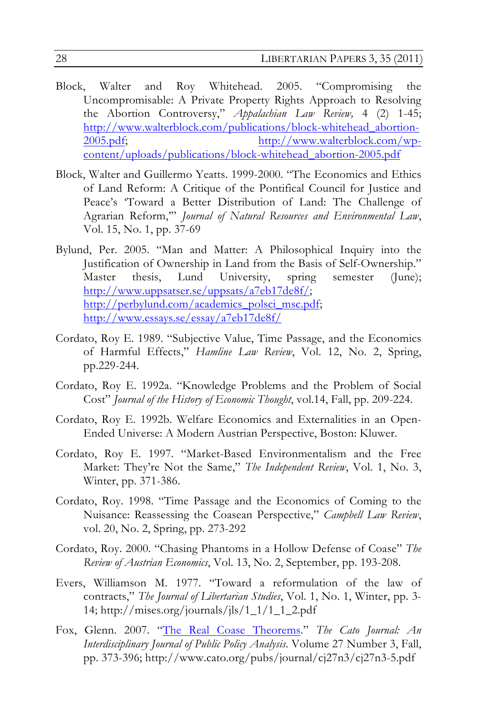- Block, Walter and Roy Whitehead. 2005. "Compromising the Uncompromisable: A Private Property Rights Approach to Resolving the Abortion Controversy," *Appalachian Law Review,* 4 (2) 1-45; http://www.walterblock.com/publications/block-whitehead\_abortion-2005.pdf; http://www.walterblock.com/wpcontent/uploads/publications/block-whitehead\_abortion-2005.pdf
- Block, Walter and Guillermo Yeatts. 1999-2000. "The Economics and Ethics of Land Reform: A Critique of the Pontifical Council for Justice and Peace's 'Toward a Better Distribution of Land: The Challenge of Agrarian Reform,'" *Journal of Natural Resources and Environmental Law*, Vol. 15, No. 1, pp. 37-69
- Bylund, Per. 2005. "Man and Matter: A Philosophical Inquiry into the Justification of Ownership in Land from the Basis of Self-Ownership." Master thesis, Lund University, spring semester (June); http://www.uppsatser.se/uppsats/a7eb17de8f/; http://perbylund.com/academics\_polsci\_msc.pdf; http://www.essays.se/essay/a7eb17de8f/
- Cordato, Roy E. 1989. "Subjective Value, Time Passage, and the Economics of Harmful Effects," *Hamline Law Review*, Vol. 12, No. 2, Spring, pp.229-244.
- Cordato, Roy E. 1992a. "Knowledge Problems and the Problem of Social Cost" *Journal of the History of Economic Thought*, vol.14, Fall, pp. 209-224.
- Cordato, Roy E. 1992b. Welfare Economics and Externalities in an Open-Ended Universe: A Modern Austrian Perspective, Boston: Kluwer.
- Cordato, Roy E. 1997. "Market-Based Environmentalism and the Free Market: They're Not the Same," *The Independent Review*, Vol. 1, No. 3, Winter, pp. 371-386.
- Cordato, Roy. 1998. "Time Passage and the Economics of Coming to the Nuisance: Reassessing the Coasean Perspective," *Campbell Law Review*, vol. 20, No. 2, Spring, pp. 273-292
- Cordato, Roy. 2000. "Chasing Phantoms in a Hollow Defense of Coase" *The Review of Austrian Economics*, Vol. 13, No. 2, September, pp. 193-208.
- Evers, Williamson M. 1977. "Toward a reformulation of the law of contracts," *The Journal of Libertarian Studies*, Vol. 1, No. 1, Winter, pp. 3- 14; http://mises.org/journals/jls/1\_1/1\_1\_2.pdf
- Fox, Glenn. 2007. "The Real Coase Theorems." *The Cato Journal: An Interdisciplinary Journal of Public Policy Analysis*. Volume 27 Number 3, Fall, pp. 373-396; http://www.cato.org/pubs/journal/cj27n3/cj27n3-5.pdf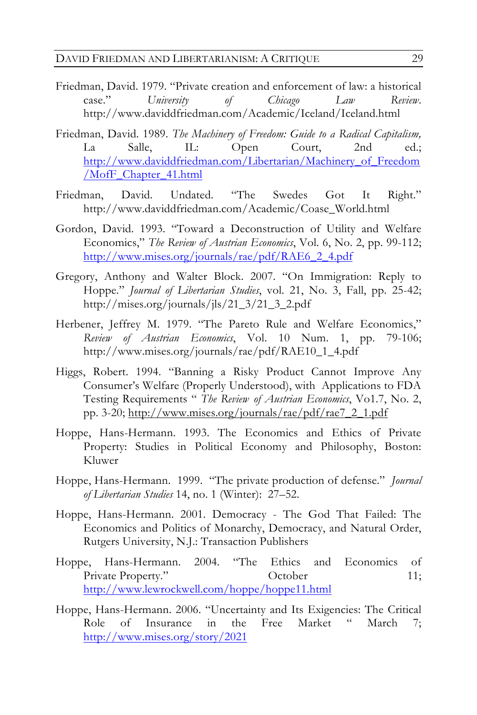- Friedman, David. 1979. "Private creation and enforcement of law: a historical case." *University of Chicago Law Review*. http://www.daviddfriedman.com/Academic/Iceland/Iceland.html
- Friedman, David. 1989. *The Machinery of Freedom: Guide to a Radical Capitalism,* La Salle, IL: Open Court, 2nd ed.; http://www.daviddfriedman.com/Libertarian/Machinery\_of\_Freedom /MofF\_Chapter\_41.html
- Friedman, David. Undated. "The Swedes Got It Right." http://www.daviddfriedman.com/Academic/Coase\_World.html
- Gordon, David. 1993. "Toward a Deconstruction of Utility and Welfare Economics," *The Review of Austrian Economics*, Vol. 6, No. 2, pp. 99-112; http://www.mises.org/journals/rae/pdf/RAE6\_2\_4.pdf
- Gregory, Anthony and Walter Block. 2007. "On Immigration: Reply to Hoppe." *Journal of Libertarian Studies*, vol. 21, No. 3, Fall, pp. 25-42; http://mises.org/journals/jls/21\_3/21\_3\_2.pdf
- Herbener, Jeffrey M. 1979. "The Pareto Rule and Welfare Economics," *Review of Austrian Economics*, Vol. 10 Num. 1, pp. 79-106; http://www.mises.org/journals/rae/pdf/RAE10\_1\_4.pdf
- Higgs, Robert. 1994. "Banning a Risky Product Cannot Improve Any Consumer's Welfare (Properly Understood), with Applications to FDA Testing Requirements " *The Review of Austrian Economics*, Vo1.7, No. 2, pp. 3-20; http://www.mises.org/journals/rae/pdf/rae7\_2\_1.pdf
- Hoppe, Hans-Hermann. 1993. The Economics and Ethics of Private Property: Studies in Political Economy and Philosophy, Boston: Kluwer
- Hoppe, Hans-Hermann. 1999. "The private production of defense." *Journal of Libertarian Studies* 14, no. 1 (Winter): 27–52.
- Hoppe, Hans-Hermann. 2001. Democracy The God That Failed: The Economics and Politics of Monarchy, Democracy, and Natural Order, Rutgers University, N.J.: Transaction Publishers
- Hoppe, Hans-Hermann. 2004. "The Ethics and Economics of Private Property." October 11; http://www.lewrockwell.com/hoppe/hoppe11.html
- Hoppe, Hans-Hermann. 2006. "Uncertainty and Its Exigencies: The Critical Role of Insurance in the Free Market " March 7; http://www.mises.org/story/2021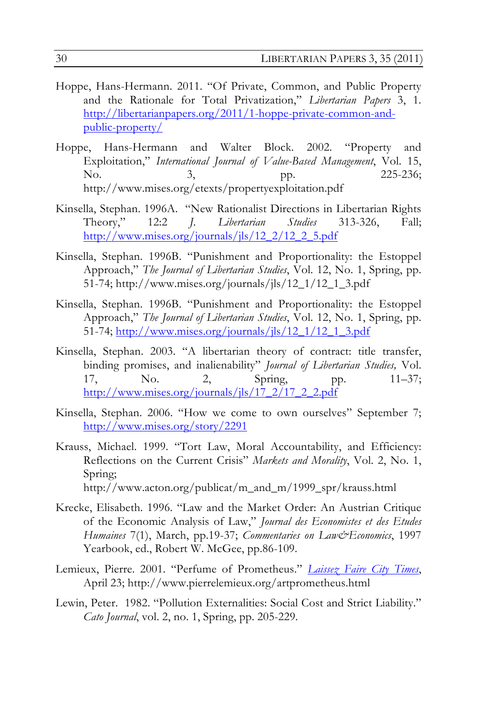- Hoppe, Hans-Hermann. 2011. "Of Private, Common, and Public Property and the Rationale for Total Privatization," *Libertarian Papers* 3, 1. http://libertarianpapers.org/2011/1-hoppe-private-common-andpublic-property/
- Hoppe, Hans-Hermann and Walter Block. 2002. "Property and Exploitation," *International Journal of Value-Based Management*, Vol. 15, No. 3, pp. 225-236; http://www.mises.org/etexts/propertyexploitation.pdf
- Kinsella, Stephan. 1996A. "New Rationalist Directions in Libertarian Rights Theory," 12:2 *J. Libertarian Studies* 313-326, Fall; http://www.mises.org/journals/jls/12\_2/12\_2\_5.pdf
- Kinsella, Stephan. 1996B. "Punishment and Proportionality: the Estoppel Approach," *The Journal of Libertarian Studies*, Vol. 12, No. 1, Spring, pp. 51-74; http://www.mises.org/journals/jls/12\_1/12\_1\_3.pdf
- Kinsella, Stephan. 1996B. "Punishment and Proportionality: the Estoppel Approach," *The Journal of Libertarian Studies*, Vol. 12, No. 1, Spring, pp. 51-74; http://www.mises.org/journals/jls/12\_1/12\_1\_3.pdf
- Kinsella, Stephan. 2003. "A libertarian theory of contract: title transfer, binding promises, and inalienability" *Journal of Libertarian Studies,* Vol. 17, No. 2, Spring, pp. 11–37; http://www.mises.org/journals/jls/17\_2/17\_2\_2.pdf
- Kinsella, Stephan. 2006. "How we come to own ourselves" September 7; http://www.mises.org/story/2291
- Krauss, Michael. 1999. "Tort Law, Moral Accountability, and Efficiency: Reflections on the Current Crisis" *Markets and Morality*, Vol. 2, No. 1, Spring; http://www.acton.org/publicat/m\_and\_m/1999\_spr/krauss.html
- Krecke, Elisabeth. 1996. "Law and the Market Order: An Austrian Critique of the Economic Analysis of Law," *Journal des Economistes et des Etudes Humaines* 7(1), March, pp.19-37; *Commentaries on Law&Economics*, 1997 Yearbook, ed., Robert W. McGee, pp.86-109.
- Lemieux, Pierre. 2001. "Perfume of Prometheus." *Laissez Faire City Times*, April 23; http://www.pierrelemieux.org/artprometheus.html
- Lewin, Peter. 1982. "Pollution Externalities: Social Cost and Strict Liability." *Cato Journal*, vol. 2, no. 1, Spring, pp. 205-229.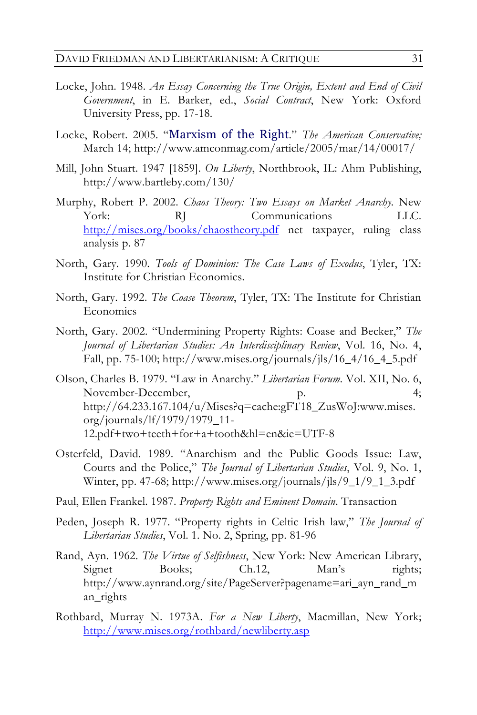- Locke, John. 1948. *An Essay Concerning the True Origin, Extent and End of Civil Government*, in E. Barker, ed., *Social Contract*, New York: Oxford University Press, pp. 17-18.
- Locke, Robert. 2005. "Marxism of the Right." *The American Conservative;* March 14; http://www.amconmag.com/article/2005/mar/14/00017/
- Mill, John Stuart. 1947 [1859]. *On Liberty*, Northbrook, IL: Ahm Publishing, http://www.bartleby.com/130/
- Murphy, Robert P. 2002. *Chaos Theory: Two Essays on Market Anarchy.* New York: RJ Communications LLC. http://mises.org/books/chaostheory.pdf net taxpayer, ruling class analysis p. 87
- North, Gary. 1990. *Tools of Dominion: The Case Laws of Exodus*, Tyler, TX: Institute for Christian Economics.
- North, Gary. 1992. *The Coase Theorem*, Tyler, TX: The Institute for Christian **Economics**
- North, Gary. 2002. "Undermining Property Rights: Coase and Becker," *The Journal of Libertarian Studies: An Interdisciplinary Review*, Vol. 16, No. 4, Fall, pp. 75-100; http://www.mises.org/journals/jls/16  $4/16$  4 5.pdf
- Olson, Charles B. 1979. "Law in Anarchy." *Libertarian Forum.* Vol. XII, No. 6, November-December, p. 4; http://64.233.167.104/u/Mises?q=cache:gFT18\_ZusWoJ:www.mises. org/journals/lf/1979/1979\_11- 12.pdf+two+teeth+for+a+tooth&hl=en&ie=UTF-8
- Osterfeld, David. 1989. "Anarchism and the Public Goods Issue: Law, Courts and the Police," *The Journal of Libertarian Studies*, Vol. 9, No. 1, Winter, pp. 47-68; http://www.mises.org/journals/jls/9\_1/9\_1\_3.pdf
- Paul, Ellen Frankel. 1987. *Property Rights and Eminent Domain*. Transaction
- Peden, Joseph R. 1977. "Property rights in Celtic Irish law," *The Journal of Libertarian Studies*, Vol. 1. No. 2, Spring, pp. 81-96
- Rand, Ayn. 1962. *The Virtue of Selfishness*, New York: New American Library, Signet Books; Ch.12, Man's rights; http://www.aynrand.org/site/PageServer?pagename=ari\_ayn\_rand\_m an\_rights
- Rothbard, Murray N. 1973A. *For a New Liberty*, Macmillan, New York; http://www.mises.org/rothbard/newliberty.asp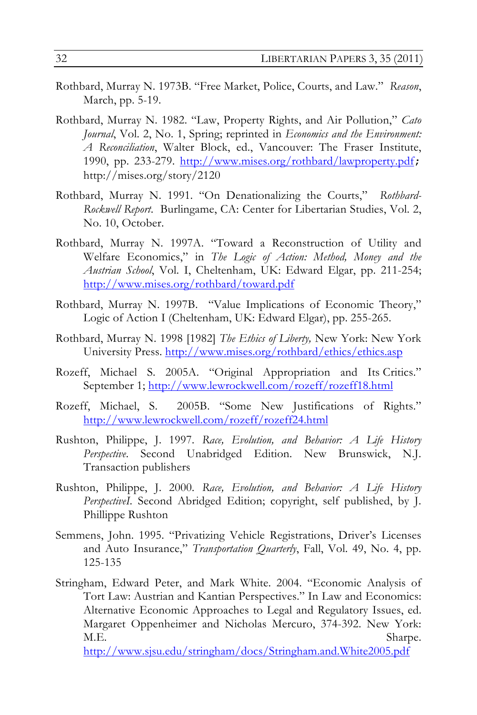- Rothbard, Murray N. 1973B. "Free Market, Police, Courts, and Law." *Reason*, March, pp. 5-19.
- Rothbard, Murray N. 1982. "Law, Property Rights, and Air Pollution," *Cato Journal*, Vol. 2, No. 1, Spring; reprinted in *Economics and the Environment: A Reconciliation*, Walter Block, ed., Vancouver: The Fraser Institute, 1990, pp. 233-279. http://www.mises.org/rothbard/lawproperty.pdf; http://mises.org/story/2120
- Rothbard, Murray N. 1991. "On Denationalizing the Courts," *Rothbard-Rockwell Report*. Burlingame, CA: Center for Libertarian Studies, Vol. 2, No. 10, October.
- Rothbard, Murray N. 1997A. "Toward a Reconstruction of Utility and Welfare Economics," in *The Logic of Action: Method, Money and the Austrian School*, Vol. I, Cheltenham, UK: Edward Elgar, pp. 211-254; http://www.mises.org/rothbard/toward.pdf
- Rothbard, Murray N. 1997B. "Value Implications of Economic Theory," Logic of Action I (Cheltenham, UK: Edward Elgar), pp. 255-265.
- Rothbard, Murray N. 1998 [1982] *The Ethics of Liberty,* New York: New York University Press. http://www.mises.org/rothbard/ethics/ethics.asp
- Rozeff, Michael S. 2005A. "Original Appropriation and Its Critics." September 1; http://www.lewrockwell.com/rozeff/rozeff18.html
- Rozeff, Michael, S. 2005B. "Some New Justifications of Rights." http://www.lewrockwell.com/rozeff/rozeff24.html
- Rushton, Philippe, J. 1997. *Race, Evolution, and Behavior: A Life History Perspective*. Second Unabridged Edition. New Brunswick, N.J. Transaction publishers
- Rushton, Philippe, J. 2000. *Race, Evolution, and Behavior: A Life History PerspectiveI.* Second Abridged Edition; copyright, self published, by J. Phillippe Rushton
- Semmens, John. 1995. "Privatizing Vehicle Registrations, Driver's Licenses and Auto Insurance," *Transportation Quarterly*, Fall, Vol. 49, No. 4, pp. 125-135
- Stringham, Edward Peter, and Mark White. 2004. "Economic Analysis of Tort Law: Austrian and Kantian Perspectives." In Law and Economics: Alternative Economic Approaches to Legal and Regulatory Issues, ed. Margaret Oppenheimer and Nicholas Mercuro, 374-392. New York: M.E. Sharpe.

http://www.sjsu.edu/stringham/docs/Stringham.and.White2005.pdf